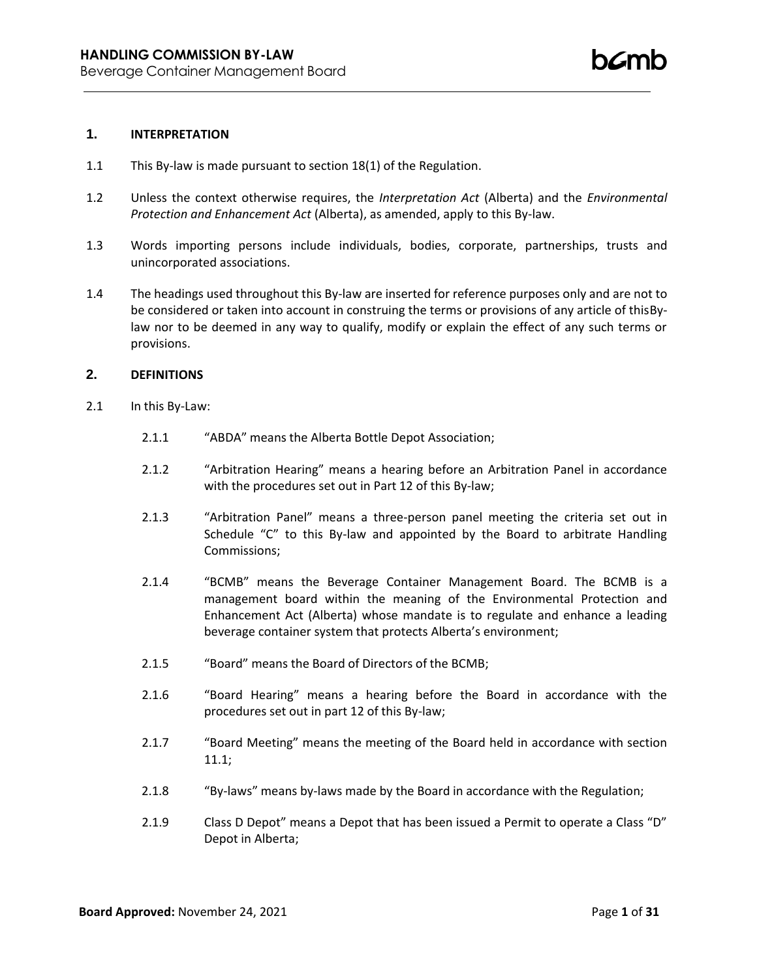#### **1. INTERPRETATION**

- 1.1 This By-law is made pursuant to section 18(1) of the Regulation.
- 1.2 Unless the context otherwise requires, the *Interpretation Act* (Alberta) and the *Environmental Protection and Enhancement Act* (Alberta), as amended, apply to this By-law.
- 1.3 Words importing persons include individuals, bodies, corporate, partnerships, trusts and unincorporated associations.
- 1.4 The headings used throughout this By-law are inserted for reference purposes only and are not to be considered or taken into account in construing the terms or provisions of any article of thisBylaw nor to be deemed in any way to qualify, modify or explain the effect of any such terms or provisions.

## **2. DEFINITIONS**

- 2.1 In this By-Law:
	- 2.1.1 "ABDA" means the Alberta Bottle Depot Association;
	- 2.1.2 "Arbitration Hearing" means a hearing before an Arbitration Panel in accordance with the procedures set out in Part 12 of this By-law;
	- 2.1.3 "Arbitration Panel" means a three-person panel meeting the criteria set out in Schedule "C" to this By-law and appointed by the Board to arbitrate Handling Commissions;
	- 2.1.4 "BCMB" means the Beverage Container Management Board. The BCMB is a management board within the meaning of the Environmental Protection and Enhancement Act (Alberta) whose mandate is to regulate and enhance a leading beverage container system that protects Alberta's environment;
	- 2.1.5 "Board" means the Board of Directors of the BCMB;
	- 2.1.6 "Board Hearing" means a hearing before the Board in accordance with the procedures set out in part 12 of this By-law;
	- 2.1.7 "Board Meeting" means the meeting of the Board held in accordance with section 11.1;
	- 2.1.8 "By-laws" means by-laws made by the Board in accordance with the Regulation;
	- 2.1.9 Class D Depot" means a Depot that has been issued a Permit to operate a Class "D" Depot in Alberta;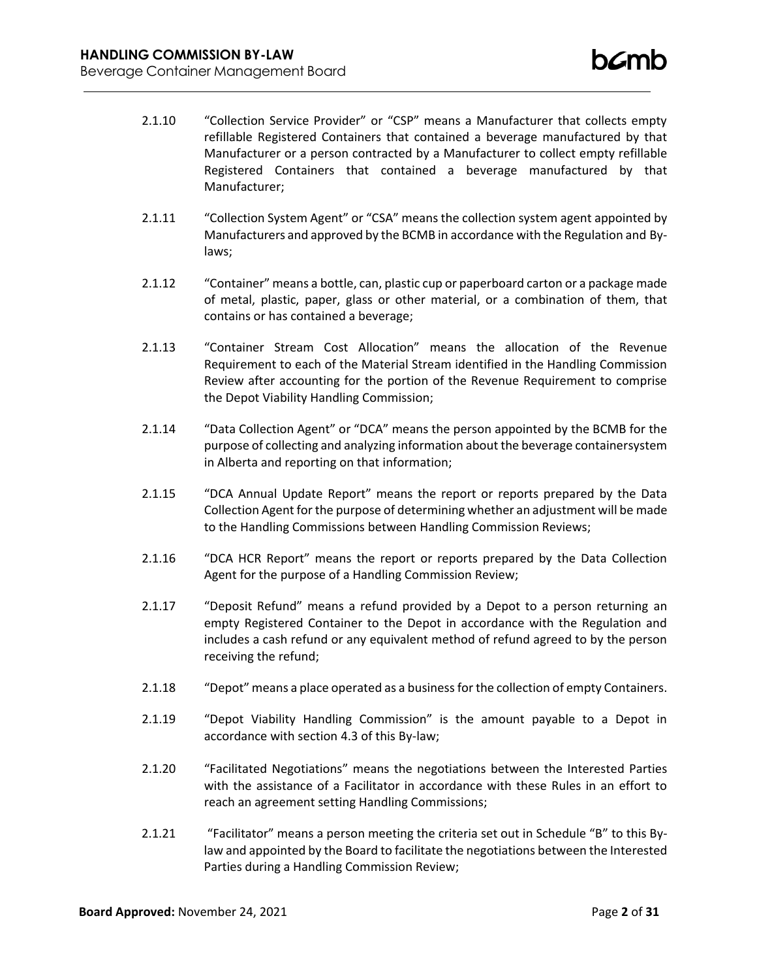- 2.1.10 "Collection Service Provider" or "CSP" means a Manufacturer that collects empty refillable Registered Containers that contained a beverage manufactured by that Manufacturer or a person contracted by a Manufacturer to collect empty refillable Registered Containers that contained a beverage manufactured by that Manufacturer;
- 2.1.11 "Collection System Agent" or "CSA" means the collection system agent appointed by Manufacturers and approved by the BCMB in accordance with the Regulation and Bylaws;
- 2.1.12 "Container" means a bottle, can, plastic cup or paperboard carton or a package made of metal, plastic, paper, glass or other material, or a combination of them, that contains or has contained a beverage;
- 2.1.13 "Container Stream Cost Allocation" means the allocation of the Revenue Requirement to each of the Material Stream identified in the Handling Commission Review after accounting for the portion of the Revenue Requirement to comprise the Depot Viability Handling Commission;
- 2.1.14 "Data Collection Agent" or "DCA" means the person appointed by the BCMB for the purpose of collecting and analyzing information about the beverage containersystem in Alberta and reporting on that information;
- 2.1.15 "DCA Annual Update Report" means the report or reports prepared by the Data Collection Agent for the purpose of determining whether an adjustment will be made to the Handling Commissions between Handling Commission Reviews;
- 2.1.16 "DCA HCR Report" means the report or reports prepared by the Data Collection Agent for the purpose of a Handling Commission Review;
- 2.1.17 "Deposit Refund" means a refund provided by a Depot to a person returning an empty Registered Container to the Depot in accordance with the Regulation and includes a cash refund or any equivalent method of refund agreed to by the person receiving the refund;
- 2.1.18 "Depot" means a place operated as a businessfor the collection of empty Containers.
- 2.1.19 "Depot Viability Handling Commission" is the amount payable to a Depot in accordance with section 4.3 of this By-law;
- 2.1.20 "Facilitated Negotiations" means the negotiations between the Interested Parties with the assistance of a Facilitator in accordance with these Rules in an effort to reach an agreement setting Handling Commissions;
- 2.1.21 "Facilitator" means a person meeting the criteria set out in Schedule "B" to this Bylaw and appointed by the Board to facilitate the negotiations between the Interested Parties during a Handling Commission Review;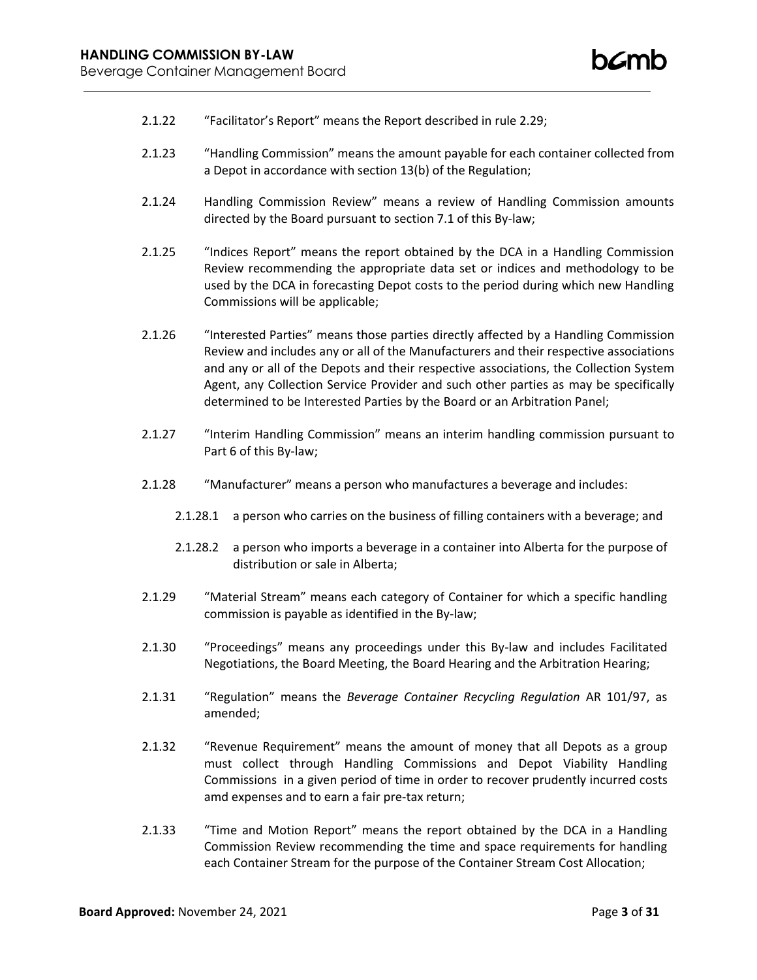- 2.1.22 "Facilitator's Report" means the Report described in rule 2.29;
- 2.1.23 "Handling Commission" means the amount payable for each container collected from a Depot in accordance with section 13(b) of the Regulation;
- 2.1.24 Handling Commission Review" means a review of Handling Commission amounts directed by the Board pursuant to section 7.1 of this By-law;
- 2.1.25 "Indices Report" means the report obtained by the DCA in a Handling Commission Review recommending the appropriate data set or indices and methodology to be used by the DCA in forecasting Depot costs to the period during which new Handling Commissions will be applicable;
- 2.1.26 "Interested Parties" means those parties directly affected by a Handling Commission Review and includes any or all of the Manufacturers and their respective associations and any or all of the Depots and their respective associations, the Collection System Agent, any Collection Service Provider and such other parties as may be specifically determined to be Interested Parties by the Board or an Arbitration Panel;
- 2.1.27 "Interim Handling Commission" means an interim handling commission pursuant to Part 6 of this By-law;
- 2.1.28 "Manufacturer" means a person who manufactures a beverage and includes:
	- 2.1.28.1 a person who carries on the business of filling containers with a beverage; and
	- 2.1.28.2 a person who imports a beverage in a container into Alberta for the purpose of distribution or sale in Alberta;
- 2.1.29 "Material Stream" means each category of Container for which a specific handling commission is payable as identified in the By-law;
- 2.1.30 "Proceedings" means any proceedings under this By-law and includes Facilitated Negotiations, the Board Meeting, the Board Hearing and the Arbitration Hearing;
- 2.1.31 "Regulation" means the *Beverage Container Recycling Regulation* AR 101/97, as amended;
- 2.1.32 "Revenue Requirement" means the amount of money that all Depots as a group must collect through Handling Commissions and Depot Viability Handling Commissions in a given period of time in order to recover prudently incurred costs amd expenses and to earn a fair pre-tax return;
- 2.1.33 "Time and Motion Report" means the report obtained by the DCA in a Handling Commission Review recommending the time and space requirements for handling each Container Stream for the purpose of the Container Stream Cost Allocation;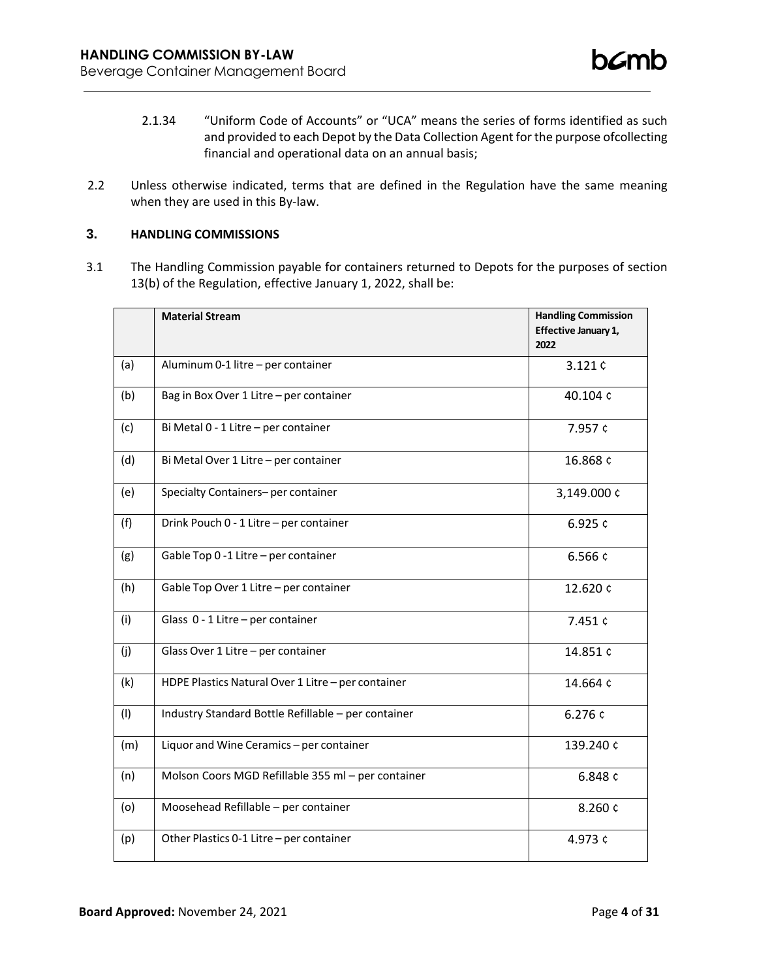- 2.1.34 "Uniform Code of Accounts" or "UCA" means the series of forms identified as such and provided to each Depot by the Data Collection Agent for the purpose ofcollecting financial and operational data on an annual basis;
- 2.2 Unless otherwise indicated, terms that are defined in the Regulation have the same meaning when they are used in this By-law.

# **3. HANDLING COMMISSIONS**

3.1 The Handling Commission payable for containers returned to Depots for the purposes of section 13(b) of the Regulation, effective January 1, 2022, shall be:

|     | <b>Material Stream</b>                              | <b>Handling Commission</b><br>Effective January 1,<br>2022 |
|-----|-----------------------------------------------------|------------------------------------------------------------|
| (a) | Aluminum 0-1 litre - per container                  | 3.121¢                                                     |
| (b) | Bag in Box Over 1 Litre - per container             | 40.104 ¢                                                   |
| (c) | Bi Metal 0 - 1 Litre - per container                | 7.957 ¢                                                    |
| (d) | Bi Metal Over 1 Litre - per container               | 16.868 ¢                                                   |
| (e) | Specialty Containers- per container                 | 3,149.000 ¢                                                |
| (f) | Drink Pouch 0 - 1 Litre - per container             | 6.925 $c$                                                  |
| (g) | Gable Top 0 -1 Litre - per container                | 6.566 ¢                                                    |
| (h) | Gable Top Over 1 Litre - per container              | 12.620 ¢                                                   |
| (i) | Glass 0 - 1 Litre - per container                   | 7.451 ¢                                                    |
| (j) | Glass Over 1 Litre - per container                  | 14.851 ¢                                                   |
| (k) | HDPE Plastics Natural Over 1 Litre - per container  | 14.664 ¢                                                   |
| (1) | Industry Standard Bottle Refillable - per container | 6.276 ¢                                                    |
| (m) | Liquor and Wine Ceramics - per container            | 139.240 ¢                                                  |
| (n) | Molson Coors MGD Refillable 355 ml - per container  | 6.848 ¢                                                    |
| (o) | Moosehead Refillable - per container                | 8.260 ¢                                                    |
| (p) | Other Plastics 0-1 Litre - per container            | 4.973 ¢                                                    |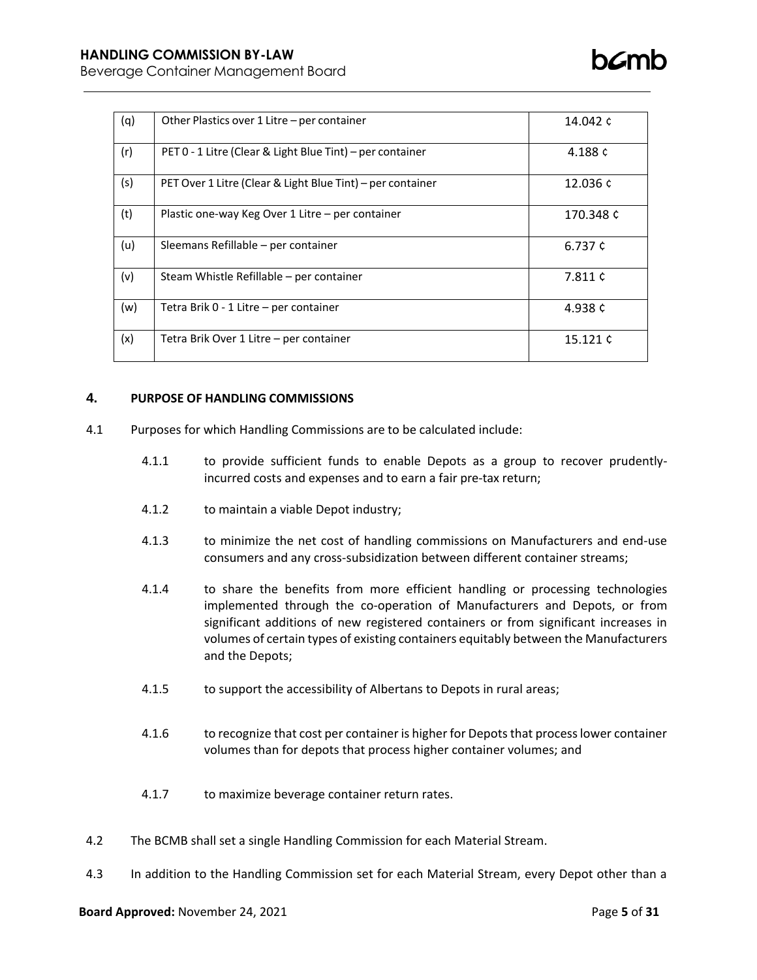| (q) | Other Plastics over 1 Litre – per container                | 14.042 ¢  |
|-----|------------------------------------------------------------|-----------|
| (r) | PET 0 - 1 Litre (Clear & Light Blue Tint) - per container  | 4.188 ¢   |
| (s) | PET Over 1 Litre (Clear & Light Blue Tint) – per container | 12.036 ¢  |
| (t) | Plastic one-way Keg Over 1 Litre – per container           | 170.348 ¢ |
| (u) | Sleemans Refillable – per container                        | 6.737 ¢   |
| (v) | Steam Whistle Refillable – per container                   | 7.811 ¢   |
| (w) | Tetra Brik 0 - 1 Litre – per container                     | 4.938 ¢   |
| (x) | Tetra Brik Over 1 Litre - per container                    | 15.121 ¢  |

## **4. PURPOSE OF HANDLING COMMISSIONS**

- 4.1 Purposes for which Handling Commissions are to be calculated include:
	- 4.1.1 to provide sufficient funds to enable Depots as a group to recover prudentlyincurred costs and expenses and to earn a fair pre-tax return;
	- 4.1.2 to maintain a viable Depot industry;
	- 4.1.3 to minimize the net cost of handling commissions on Manufacturers and end-use consumers and any cross-subsidization between different container streams;
	- 4.1.4 to share the benefits from more efficient handling or processing technologies implemented through the co-operation of Manufacturers and Depots, or from significant additions of new registered containers or from significant increases in volumes of certain types of existing containers equitably between the Manufacturers and the Depots;
	- 4.1.5 to support the accessibility of Albertans to Depots in rural areas;
	- 4.1.6 to recognize that cost per container is higher for Depots that process lower container volumes than for depots that process higher container volumes; and
	- 4.1.7 to maximize beverage container return rates.
- 4.2 The BCMB shall set a single Handling Commission for each Material Stream.
- 4.3 In addition to the Handling Commission set for each Material Stream, every Depot other than a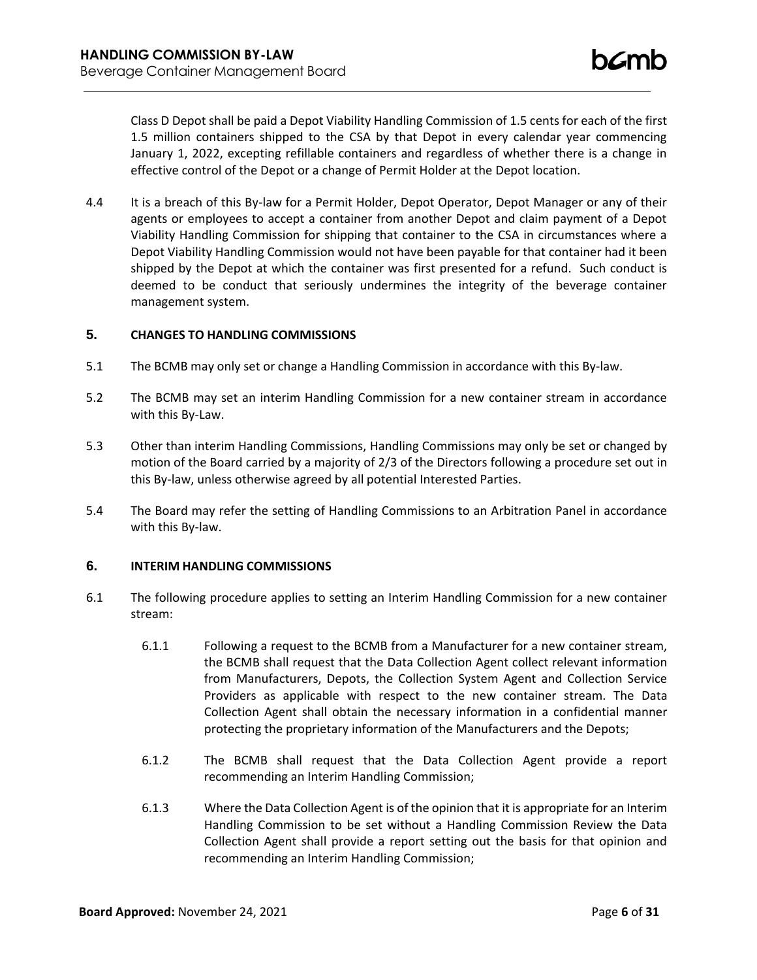Class D Depot shall be paid a Depot Viability Handling Commission of 1.5 cents for each of the first 1.5 million containers shipped to the CSA by that Depot in every calendar year commencing January 1, 2022, excepting refillable containers and regardless of whether there is a change in effective control of the Depot or a change of Permit Holder at the Depot location.

4.4 It is a breach of this By-law for a Permit Holder, Depot Operator, Depot Manager or any of their agents or employees to accept a container from another Depot and claim payment of a Depot Viability Handling Commission for shipping that container to the CSA in circumstances where a Depot Viability Handling Commission would not have been payable for that container had it been shipped by the Depot at which the container was first presented for a refund. Such conduct is deemed to be conduct that seriously undermines the integrity of the beverage container management system.

### **5. CHANGES TO HANDLING COMMISSIONS**

- 5.1 The BCMB may only set or change a Handling Commission in accordance with this By-law.
- 5.2 The BCMB may set an interim Handling Commission for a new container stream in accordance with this By-Law.
- 5.3 Other than interim Handling Commissions, Handling Commissions may only be set or changed by motion of the Board carried by a majority of 2/3 of the Directors following a procedure set out in this By-law, unless otherwise agreed by all potential Interested Parties.
- 5.4 The Board may refer the setting of Handling Commissions to an Arbitration Panel in accordance with this By-law.

## **6. INTERIM HANDLING COMMISSIONS**

- 6.1 The following procedure applies to setting an Interim Handling Commission for a new container stream:
	- 6.1.1 Following a request to the BCMB from a Manufacturer for a new container stream, the BCMB shall request that the Data Collection Agent collect relevant information from Manufacturers, Depots, the Collection System Agent and Collection Service Providers as applicable with respect to the new container stream. The Data Collection Agent shall obtain the necessary information in a confidential manner protecting the proprietary information of the Manufacturers and the Depots;
	- 6.1.2 The BCMB shall request that the Data Collection Agent provide a report recommending an Interim Handling Commission;
	- 6.1.3 Where the Data Collection Agent is of the opinion that it is appropriate for an Interim Handling Commission to be set without a Handling Commission Review the Data Collection Agent shall provide a report setting out the basis for that opinion and recommending an Interim Handling Commission;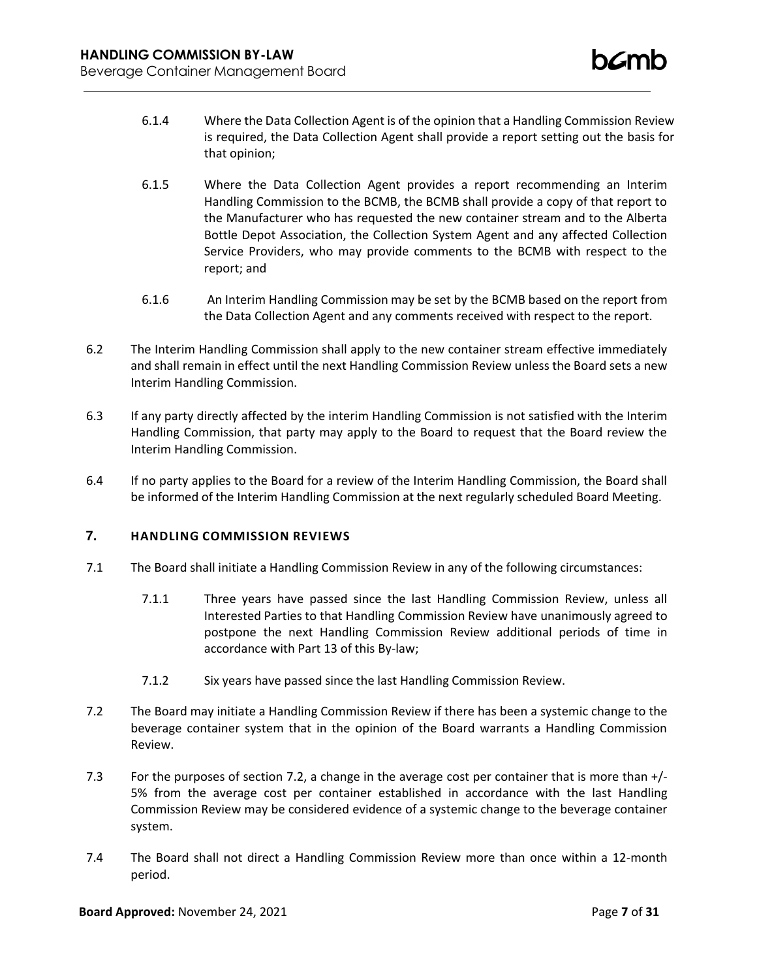- 6.1.4 Where the Data Collection Agent is of the opinion that a Handling Commission Review is required, the Data Collection Agent shall provide a report setting out the basis for that opinion;
- 6.1.5 Where the Data Collection Agent provides a report recommending an Interim Handling Commission to the BCMB, the BCMB shall provide a copy of that report to the Manufacturer who has requested the new container stream and to the Alberta Bottle Depot Association, the Collection System Agent and any affected Collection Service Providers, who may provide comments to the BCMB with respect to the report; and
- 6.1.6 An Interim Handling Commission may be set by the BCMB based on the report from the Data Collection Agent and any comments received with respect to the report.
- 6.2 The Interim Handling Commission shall apply to the new container stream effective immediately and shall remain in effect until the next Handling Commission Review unless the Board sets a new Interim Handling Commission.
- 6.3 If any party directly affected by the interim Handling Commission is not satisfied with the Interim Handling Commission, that party may apply to the Board to request that the Board review the Interim Handling Commission.
- 6.4 If no party applies to the Board for a review of the Interim Handling Commission, the Board shall be informed of the Interim Handling Commission at the next regularly scheduled Board Meeting.

## **7. HANDLING COMMISSION REVIEWS**

- 7.1 The Board shall initiate a Handling Commission Review in any of the following circumstances:
	- 7.1.1 Three years have passed since the last Handling Commission Review, unless all Interested Parties to that Handling Commission Review have unanimously agreed to postpone the next Handling Commission Review additional periods of time in accordance with Part 13 of this By-law;
	- 7.1.2 Six years have passed since the last Handling Commission Review.
- 7.2 The Board may initiate a Handling Commission Review if there has been a systemic change to the beverage container system that in the opinion of the Board warrants a Handling Commission Review.
- 7.3 For the purposes of section 7.2, a change in the average cost per container that is more than +/- 5% from the average cost per container established in accordance with the last Handling Commission Review may be considered evidence of a systemic change to the beverage container system.
- 7.4 The Board shall not direct a Handling Commission Review more than once within a 12-month period.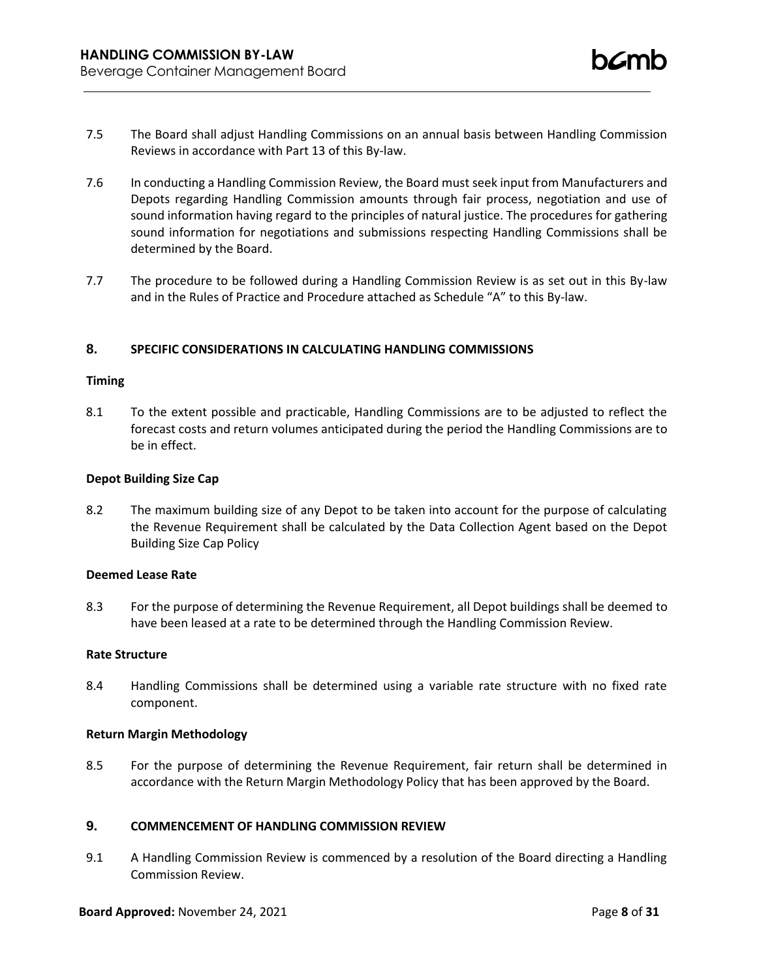- 7.5 The Board shall adjust Handling Commissions on an annual basis between Handling Commission Reviews in accordance with Part 13 of this By-law.
- 7.6 In conducting a Handling Commission Review, the Board must seek input from Manufacturers and Depots regarding Handling Commission amounts through fair process, negotiation and use of sound information having regard to the principles of natural justice. The procedures for gathering sound information for negotiations and submissions respecting Handling Commissions shall be determined by the Board.
- 7.7 The procedure to be followed during a Handling Commission Review is as set out in this By-law and in the Rules of Practice and Procedure attached as Schedule "A" to this By-law.

## **8. SPECIFIC CONSIDERATIONS IN CALCULATING HANDLING COMMISSIONS**

#### **Timing**

8.1 To the extent possible and practicable, Handling Commissions are to be adjusted to reflect the forecast costs and return volumes anticipated during the period the Handling Commissions are to be in effect.

#### **Depot Building Size Cap**

8.2 The maximum building size of any Depot to be taken into account for the purpose of calculating the Revenue Requirement shall be calculated by the Data Collection Agent based on the Depot Building Size Cap Policy

## **Deemed Lease Rate**

8.3 For the purpose of determining the Revenue Requirement, all Depot buildings shall be deemed to have been leased at a rate to be determined through the Handling Commission Review.

### **Rate Structure**

8.4 Handling Commissions shall be determined using a variable rate structure with no fixed rate component.

## **Return Margin Methodology**

8.5 For the purpose of determining the Revenue Requirement, fair return shall be determined in accordance with the Return Margin Methodology Policy that has been approved by the Board.

## **9. COMMENCEMENT OF HANDLING COMMISSION REVIEW**

9.1 A Handling Commission Review is commenced by a resolution of the Board directing a Handling Commission Review.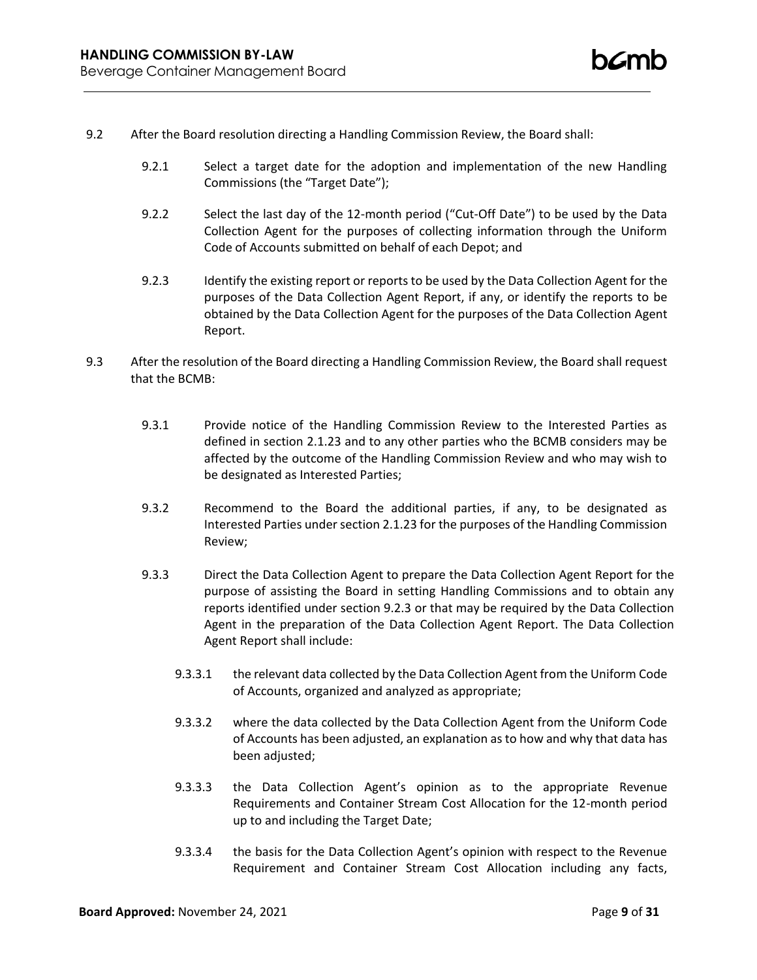- 9.2 After the Board resolution directing a Handling Commission Review, the Board shall:
	- 9.2.1 Select a target date for the adoption and implementation of the new Handling Commissions (the "Target Date");
	- 9.2.2 Select the last day of the 12-month period ("Cut-Off Date") to be used by the Data Collection Agent for the purposes of collecting information through the Uniform Code of Accounts submitted on behalf of each Depot; and
	- 9.2.3 Identify the existing report or reports to be used by the Data Collection Agent for the purposes of the Data Collection Agent Report, if any, or identify the reports to be obtained by the Data Collection Agent for the purposes of the Data Collection Agent Report.
- 9.3 After the resolution of the Board directing a Handling Commission Review, the Board shall request that the BCMB:
	- 9.3.1 Provide notice of the Handling Commission Review to the Interested Parties as defined in section 2.1.23 and to any other parties who the BCMB considers may be affected by the outcome of the Handling Commission Review and who may wish to be designated as Interested Parties;
	- 9.3.2 Recommend to the Board the additional parties, if any, to be designated as Interested Parties under section 2.1.23 for the purposes of the Handling Commission Review;
	- 9.3.3 Direct the Data Collection Agent to prepare the Data Collection Agent Report for the purpose of assisting the Board in setting Handling Commissions and to obtain any reports identified under section 9.2.3 or that may be required by the Data Collection Agent in the preparation of the Data Collection Agent Report. The Data Collection Agent Report shall include:
		- 9.3.3.1 the relevant data collected by the Data Collection Agent from the Uniform Code of Accounts, organized and analyzed as appropriate;
		- 9.3.3.2 where the data collected by the Data Collection Agent from the Uniform Code of Accounts has been adjusted, an explanation as to how and why that data has been adjusted;
		- 9.3.3.3 the Data Collection Agent's opinion as to the appropriate Revenue Requirements and Container Stream Cost Allocation for the 12-month period up to and including the Target Date;
		- 9.3.3.4 the basis for the Data Collection Agent's opinion with respect to the Revenue Requirement and Container Stream Cost Allocation including any facts,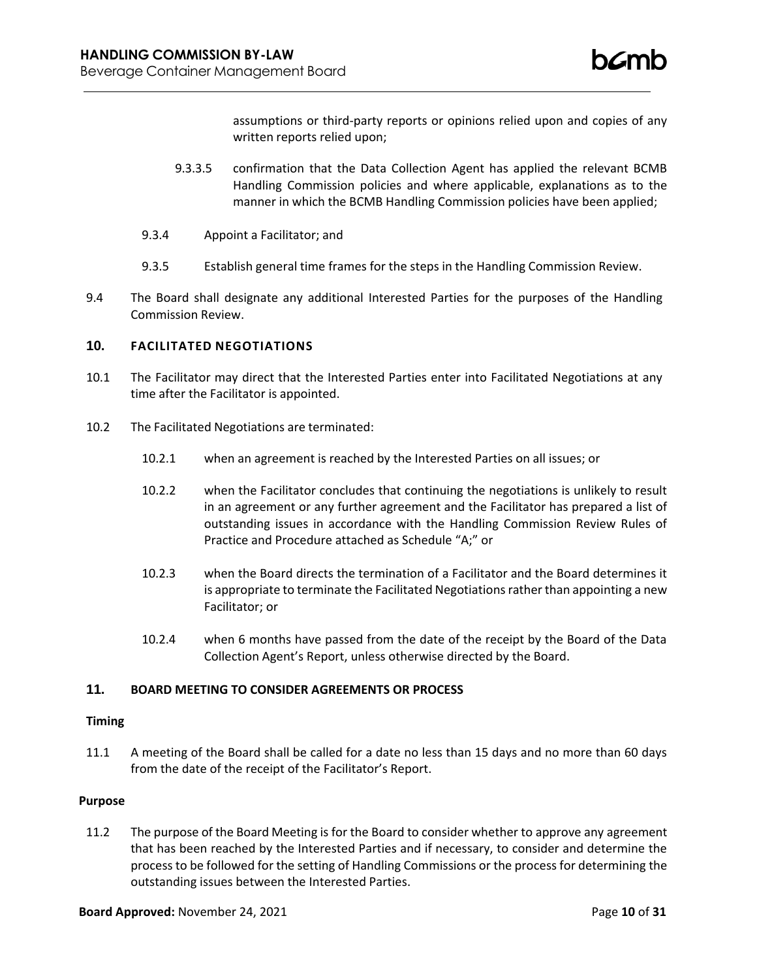assumptions or third-party reports or opinions relied upon and copies of any written reports relied upon;

- 9.3.3.5 confirmation that the Data Collection Agent has applied the relevant BCMB Handling Commission policies and where applicable, explanations as to the manner in which the BCMB Handling Commission policies have been applied;
- 9.3.4 Appoint a Facilitator; and
- 9.3.5 Establish general time frames for the steps in the Handling Commission Review.
- 9.4 The Board shall designate any additional Interested Parties for the purposes of the Handling Commission Review.

## **10. FACILITATED NEGOTIATIONS**

- 10.1 The Facilitator may direct that the Interested Parties enter into Facilitated Negotiations at any time after the Facilitator is appointed.
- 10.2 The Facilitated Negotiations are terminated:
	- 10.2.1 when an agreement is reached by the Interested Parties on all issues; or
	- 10.2.2 when the Facilitator concludes that continuing the negotiations is unlikely to result in an agreement or any further agreement and the Facilitator has prepared a list of outstanding issues in accordance with the Handling Commission Review Rules of Practice and Procedure attached as Schedule "A;" or
	- 10.2.3 when the Board directs the termination of a Facilitator and the Board determines it is appropriate to terminate the Facilitated Negotiations rather than appointing a new Facilitator; or
	- 10.2.4 when 6 months have passed from the date of the receipt by the Board of the Data Collection Agent's Report, unless otherwise directed by the Board.

## **11. BOARD MEETING TO CONSIDER AGREEMENTS OR PROCESS**

#### **Timing**

11.1 A meeting of the Board shall be called for a date no less than 15 days and no more than 60 days from the date of the receipt of the Facilitator's Report.

#### **Purpose**

11.2 The purpose of the Board Meeting is for the Board to consider whether to approve any agreement that has been reached by the Interested Parties and if necessary, to consider and determine the process to be followed for the setting of Handling Commissions or the process for determining the outstanding issues between the Interested Parties.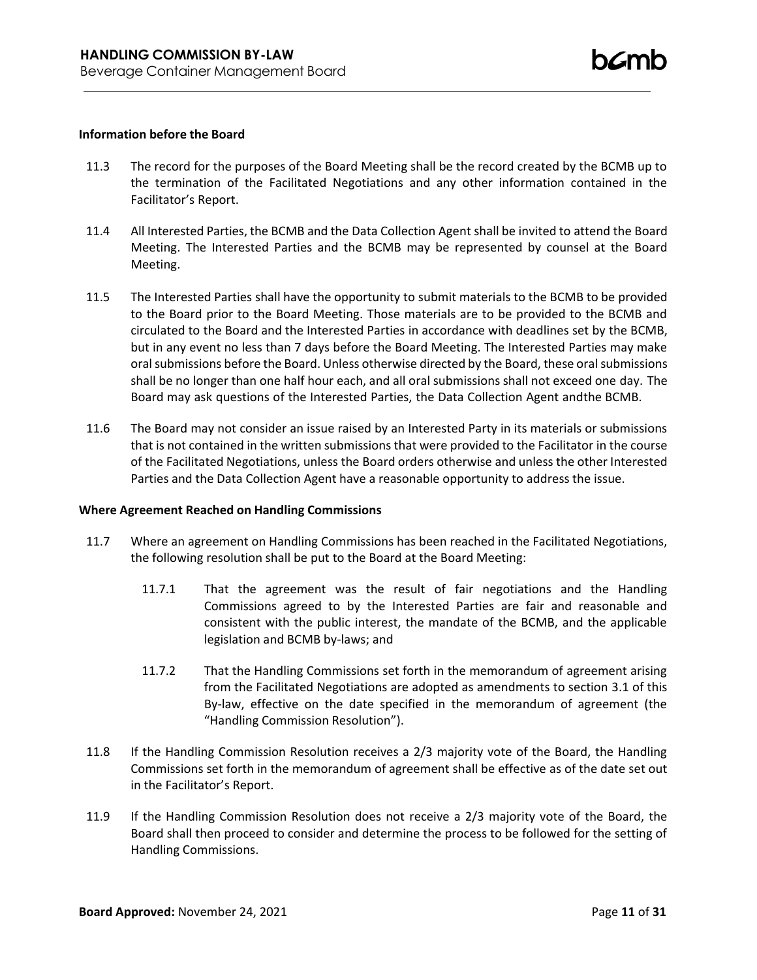### **Information before the Board**

- 11.3 The record for the purposes of the Board Meeting shall be the record created by the BCMB up to the termination of the Facilitated Negotiations and any other information contained in the Facilitator's Report.
- 11.4 All Interested Parties, the BCMB and the Data Collection Agent shall be invited to attend the Board Meeting. The Interested Parties and the BCMB may be represented by counsel at the Board Meeting.
- 11.5 The Interested Parties shall have the opportunity to submit materials to the BCMB to be provided to the Board prior to the Board Meeting. Those materials are to be provided to the BCMB and circulated to the Board and the Interested Parties in accordance with deadlines set by the BCMB, but in any event no less than 7 days before the Board Meeting. The Interested Parties may make oral submissions before the Board. Unless otherwise directed by the Board, these oral submissions shall be no longer than one half hour each, and all oral submissions shall not exceed one day. The Board may ask questions of the Interested Parties, the Data Collection Agent andthe BCMB.
- 11.6 The Board may not consider an issue raised by an Interested Party in its materials or submissions that is not contained in the written submissions that were provided to the Facilitator in the course of the Facilitated Negotiations, unless the Board orders otherwise and unless the other Interested Parties and the Data Collection Agent have a reasonable opportunity to address the issue.

## **Where Agreement Reached on Handling Commissions**

- 11.7 Where an agreement on Handling Commissions has been reached in the Facilitated Negotiations, the following resolution shall be put to the Board at the Board Meeting:
	- 11.7.1 That the agreement was the result of fair negotiations and the Handling Commissions agreed to by the Interested Parties are fair and reasonable and consistent with the public interest, the mandate of the BCMB, and the applicable legislation and BCMB by-laws; and
	- 11.7.2 That the Handling Commissions set forth in the memorandum of agreement arising from the Facilitated Negotiations are adopted as amendments to section 3.1 of this By-law, effective on the date specified in the memorandum of agreement (the "Handling Commission Resolution").
- 11.8 If the Handling Commission Resolution receives a 2/3 majority vote of the Board, the Handling Commissions set forth in the memorandum of agreement shall be effective as of the date set out in the Facilitator's Report.
- 11.9 If the Handling Commission Resolution does not receive a 2/3 majority vote of the Board, the Board shall then proceed to consider and determine the process to be followed for the setting of Handling Commissions.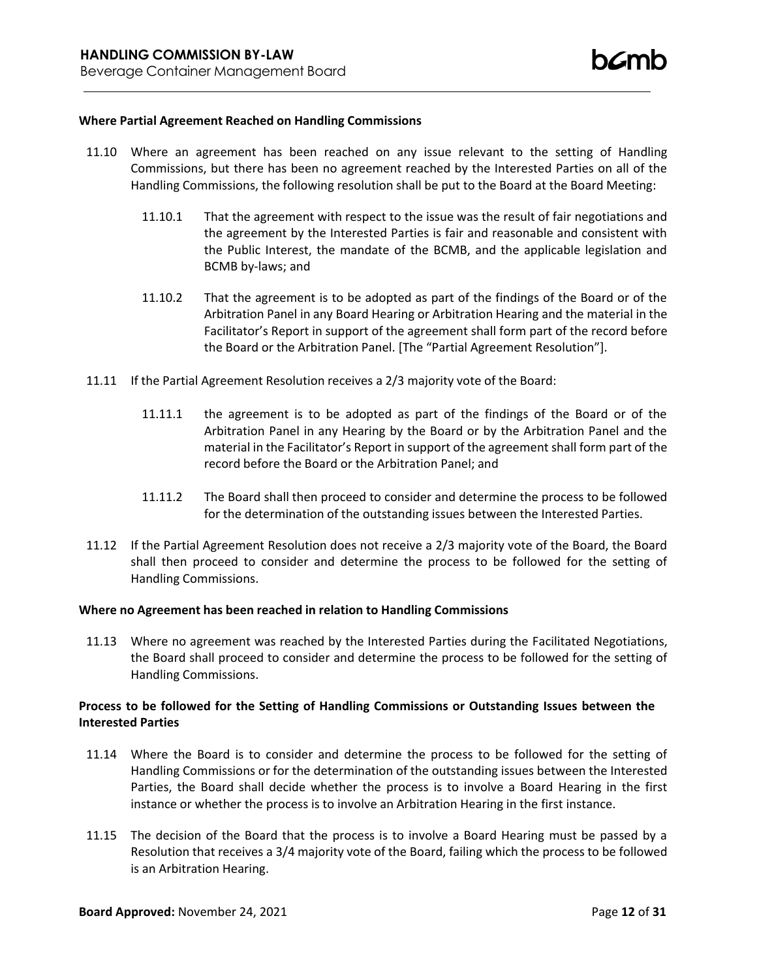### **Where Partial Agreement Reached on Handling Commissions**

- 11.10 Where an agreement has been reached on any issue relevant to the setting of Handling Commissions, but there has been no agreement reached by the Interested Parties on all of the Handling Commissions, the following resolution shall be put to the Board at the Board Meeting:
	- 11.10.1 That the agreement with respect to the issue was the result of fair negotiations and the agreement by the Interested Parties is fair and reasonable and consistent with the Public Interest, the mandate of the BCMB, and the applicable legislation and BCMB by-laws; and
	- 11.10.2 That the agreement is to be adopted as part of the findings of the Board or of the Arbitration Panel in any Board Hearing or Arbitration Hearing and the material in the Facilitator's Report in support of the agreement shall form part of the record before the Board or the Arbitration Panel. [The "Partial Agreement Resolution"].
- 11.11 If the Partial Agreement Resolution receives a 2/3 majority vote of the Board:
	- 11.11.1 the agreement is to be adopted as part of the findings of the Board or of the Arbitration Panel in any Hearing by the Board or by the Arbitration Panel and the material in the Facilitator's Report in support of the agreement shall form part of the record before the Board or the Arbitration Panel; and
	- 11.11.2 The Board shall then proceed to consider and determine the process to be followed for the determination of the outstanding issues between the Interested Parties.
- 11.12 If the Partial Agreement Resolution does not receive a 2/3 majority vote of the Board, the Board shall then proceed to consider and determine the process to be followed for the setting of Handling Commissions.

#### **Where no Agreement has been reached in relation to Handling Commissions**

11.13 Where no agreement was reached by the Interested Parties during the Facilitated Negotiations, the Board shall proceed to consider and determine the process to be followed for the setting of Handling Commissions.

## **Process to be followed for the Setting of Handling Commissions or Outstanding Issues between the Interested Parties**

- 11.14 Where the Board is to consider and determine the process to be followed for the setting of Handling Commissions or for the determination of the outstanding issues between the Interested Parties, the Board shall decide whether the process is to involve a Board Hearing in the first instance or whether the process is to involve an Arbitration Hearing in the first instance.
- 11.15 The decision of the Board that the process is to involve a Board Hearing must be passed by a Resolution that receives a 3/4 majority vote of the Board, failing which the process to be followed is an Arbitration Hearing.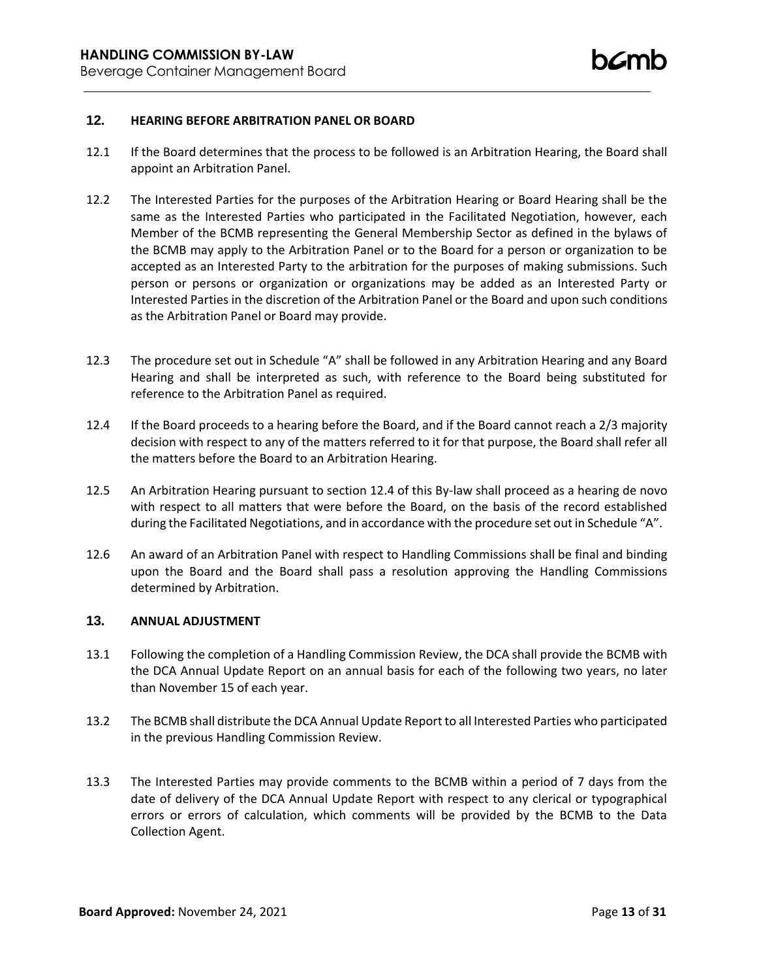## **12. HEARING BEFORE ARBITRATION PANEL OR BOARD**

- 12.1 If the Board determines that the process to be followed is an Arbitration Hearing, the Board shall appoint an Arbitration Panel.
- 12.2 The Interested Parties for the purposes of the Arbitration Hearing or Board Hearing shall be the same as the Interested Parties who participated in the Facilitated Negotiation, however, each Member of the BCMB representing the General Membership Sector as defined in the bylaws of the BCMB may apply to the Arbitration Panel or to the Board for a person or organization to be accepted as an Interested Party to the arbitration for the purposes of making submissions. Such person or persons or organization or organizations may be added as an Interested Party or Interested Parties in the discretion of the Arbitration Panel or the Board and upon such conditions as the Arbitration Panel or Board may provide.
- 12.3 The procedure set out in Schedule "A" shall be followed in any Arbitration Hearing and any Board Hearing and shall be interpreted as such, with reference to the Board being substituted for reference to the Arbitration Panel as required.
- 12.4 If the Board proceeds to a hearing before the Board, and if the Board cannot reach a 2/3 majority decision with respect to any of the matters referred to it for that purpose, the Board shall refer all the matters before the Board to an Arbitration Hearing.
- 12.5 An Arbitration Hearing pursuant to section 12.4 of this By-law shall proceed as a hearing de novo with respect to all matters that were before the Board, on the basis of the record established during the Facilitated Negotiations, and in accordance with the procedure set out in Schedule "A".
- 12.6 An award of an Arbitration Panel with respect to Handling Commissions shall be final and binding upon the Board and the Board shall pass a resolution approving the Handling Commissions determined by Arbitration.

## **13. ANNUAL ADJUSTMENT**

- 13.1 Following the completion of a Handling Commission Review, the DCA shall provide the BCMB with the DCA Annual Update Report on an annual basis for each of the following two years, no later than November 15 of each year.
- 13.2 The BCMB shall distribute the DCA Annual Update Report to all Interested Parties who participated in the previous Handling Commission Review.
- 13.3 The Interested Parties may provide comments to the BCMB within a period of 7 days from the date of delivery of the DCA Annual Update Report with respect to any clerical or typographical errors or errors of calculation, which comments will be provided by the BCMB to the Data Collection Agent.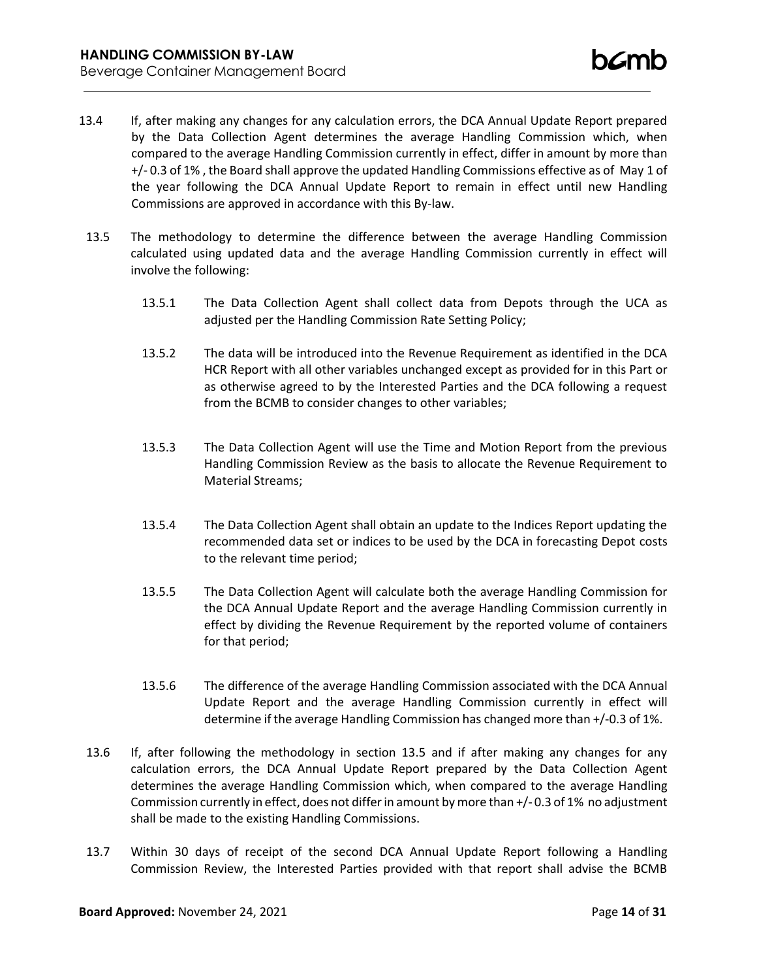- 13.4 If, after making any changes for any calculation errors, the DCA Annual Update Report prepared by the Data Collection Agent determines the average Handling Commission which, when compared to the average Handling Commission currently in effect, differ in amount by more than +/- 0.3 of 1% , the Board shall approve the updated Handling Commissions effective as of May 1 of the year following the DCA Annual Update Report to remain in effect until new Handling Commissions are approved in accordance with this By-law.
- 13.5 The methodology to determine the difference between the average Handling Commission calculated using updated data and the average Handling Commission currently in effect will involve the following:
	- 13.5.1 The Data Collection Agent shall collect data from Depots through the UCA as adjusted per the Handling Commission Rate Setting Policy;
	- 13.5.2 The data will be introduced into the Revenue Requirement as identified in the DCA HCR Report with all other variables unchanged except as provided for in this Part or as otherwise agreed to by the Interested Parties and the DCA following a request from the BCMB to consider changes to other variables;
	- 13.5.3 The Data Collection Agent will use the Time and Motion Report from the previous Handling Commission Review as the basis to allocate the Revenue Requirement to Material Streams;
	- 13.5.4 The Data Collection Agent shall obtain an update to the Indices Report updating the recommended data set or indices to be used by the DCA in forecasting Depot costs to the relevant time period;
	- 13.5.5 The Data Collection Agent will calculate both the average Handling Commission for the DCA Annual Update Report and the average Handling Commission currently in effect by dividing the Revenue Requirement by the reported volume of containers for that period;
	- 13.5.6 The difference of the average Handling Commission associated with the DCA Annual Update Report and the average Handling Commission currently in effect will determine if the average Handling Commission has changed more than +/-0.3 of 1%.
- 13.6 If, after following the methodology in section 13.5 and if after making any changes for any calculation errors, the DCA Annual Update Report prepared by the Data Collection Agent determines the average Handling Commission which, when compared to the average Handling Commission currently in effect, does not differin amount bymore than +/- 0.3 of 1% no adjustment shall be made to the existing Handling Commissions.
- 13.7 Within 30 days of receipt of the second DCA Annual Update Report following a Handling Commission Review, the Interested Parties provided with that report shall advise the BCMB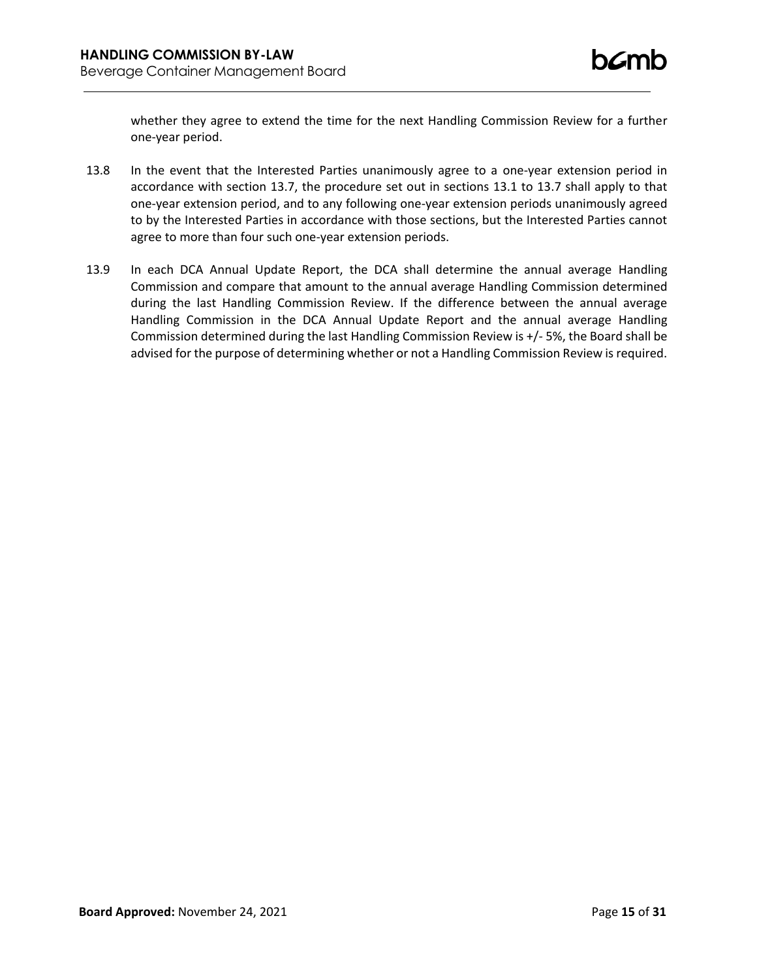whether they agree to extend the time for the next Handling Commission Review for a further one-year period.

- 13.8 In the event that the Interested Parties unanimously agree to a one-year extension period in accordance with section 13.7, the procedure set out in sections 13.1 to 13.7 shall apply to that one-year extension period, and to any following one-year extension periods unanimously agreed to by the Interested Parties in accordance with those sections, but the Interested Parties cannot agree to more than four such one-year extension periods.
- 13.9 In each DCA Annual Update Report, the DCA shall determine the annual average Handling Commission and compare that amount to the annual average Handling Commission determined during the last Handling Commission Review. If the difference between the annual average Handling Commission in the DCA Annual Update Report and the annual average Handling Commission determined during the last Handling Commission Review is +/- 5%, the Board shall be advised for the purpose of determining whether or not a Handling Commission Review is required.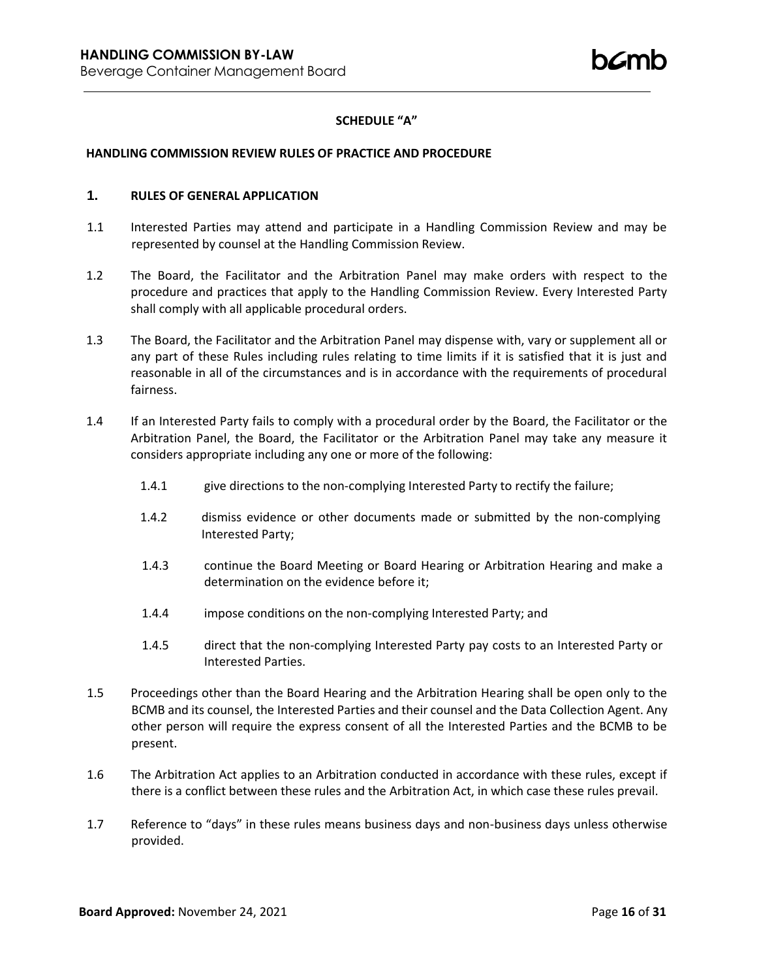# **SCHEDULE "A"**

#### **HANDLING COMMISSION REVIEW RULES OF PRACTICE AND PROCEDURE**

## **1. RULES OF GENERAL APPLICATION**

- 1.1 Interested Parties may attend and participate in a Handling Commission Review and may be represented by counsel at the Handling Commission Review.
- 1.2 The Board, the Facilitator and the Arbitration Panel may make orders with respect to the procedure and practices that apply to the Handling Commission Review. Every Interested Party shall comply with all applicable procedural orders.
- 1.3 The Board, the Facilitator and the Arbitration Panel may dispense with, vary or supplement all or any part of these Rules including rules relating to time limits if it is satisfied that it is just and reasonable in all of the circumstances and is in accordance with the requirements of procedural fairness.
- 1.4 If an Interested Party fails to comply with a procedural order by the Board, the Facilitator or the Arbitration Panel, the Board, the Facilitator or the Arbitration Panel may take any measure it considers appropriate including any one or more of the following:
	- 1.4.1 give directions to the non-complying Interested Party to rectify the failure;
	- 1.4.2 dismiss evidence or other documents made or submitted by the non-complying Interested Party;
	- 1.4.3 continue the Board Meeting or Board Hearing or Arbitration Hearing and make a determination on the evidence before it;
	- 1.4.4 impose conditions on the non-complying Interested Party; and
	- 1.4.5 direct that the non-complying Interested Party pay costs to an Interested Party or Interested Parties.
- 1.5 Proceedings other than the Board Hearing and the Arbitration Hearing shall be open only to the BCMB and its counsel, the Interested Parties and their counsel and the Data Collection Agent. Any other person will require the express consent of all the Interested Parties and the BCMB to be present.
- 1.6 The Arbitration Act applies to an Arbitration conducted in accordance with these rules, except if there is a conflict between these rules and the Arbitration Act, in which case these rules prevail.
- 1.7 Reference to "days" in these rules means business days and non-business days unless otherwise provided.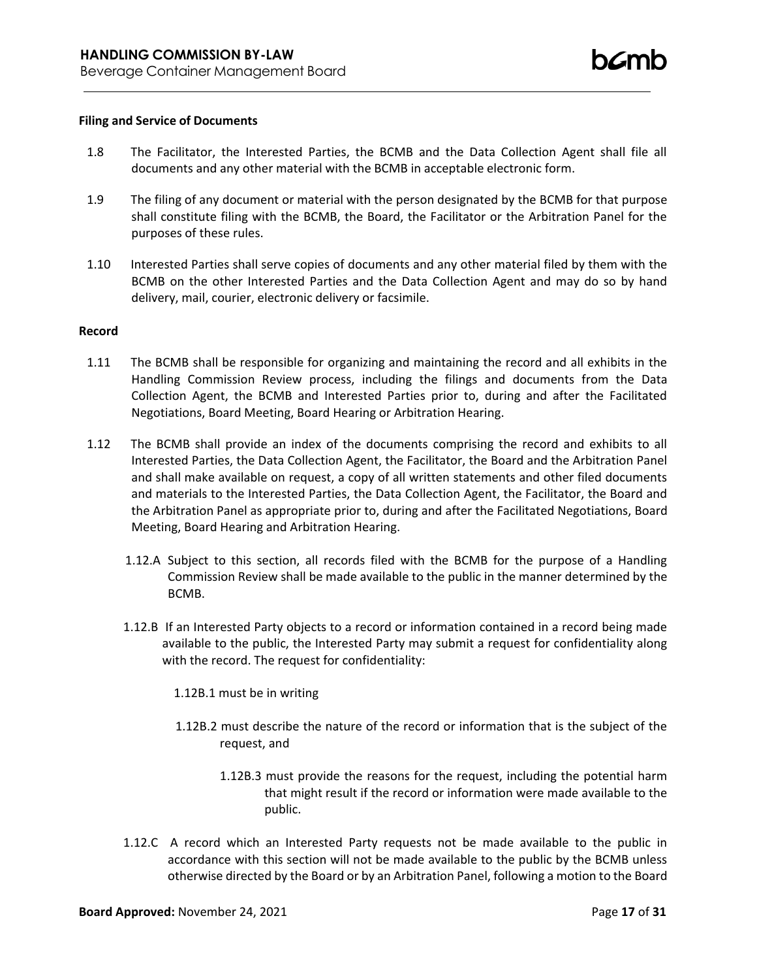#### **Filing and Service of Documents**

- 1.8 The Facilitator, the Interested Parties, the BCMB and the Data Collection Agent shall file all documents and any other material with the BCMB in acceptable electronic form.
- 1.9 The filing of any document or material with the person designated by the BCMB for that purpose shall constitute filing with the BCMB, the Board, the Facilitator or the Arbitration Panel for the purposes of these rules.
- 1.10 Interested Parties shall serve copies of documents and any other material filed by them with the BCMB on the other Interested Parties and the Data Collection Agent and may do so by hand delivery, mail, courier, electronic delivery or facsimile.

#### **Record**

- 1.11 The BCMB shall be responsible for organizing and maintaining the record and all exhibits in the Handling Commission Review process, including the filings and documents from the Data Collection Agent, the BCMB and Interested Parties prior to, during and after the Facilitated Negotiations, Board Meeting, Board Hearing or Arbitration Hearing.
- 1.12 The BCMB shall provide an index of the documents comprising the record and exhibits to all Interested Parties, the Data Collection Agent, the Facilitator, the Board and the Arbitration Panel and shall make available on request, a copy of all written statements and other filed documents and materials to the Interested Parties, the Data Collection Agent, the Facilitator, the Board and the Arbitration Panel as appropriate prior to, during and after the Facilitated Negotiations, Board Meeting, Board Hearing and Arbitration Hearing.
	- 1.12.A Subject to this section, all records filed with the BCMB for the purpose of a Handling Commission Review shall be made available to the public in the manner determined by the BCMB.
	- 1.12.B If an Interested Party objects to a record or information contained in a record being made available to the public, the Interested Party may submit a request for confidentiality along with the record. The request for confidentiality:
		- 1.12B.1 must be in writing
		- 1.12B.2 must describe the nature of the record or information that is the subject of the request, and
			- 1.12B.3 must provide the reasons for the request, including the potential harm that might result if the record or information were made available to the public.
	- 1.12.C A record which an Interested Party requests not be made available to the public in accordance with this section will not be made available to the public by the BCMB unless otherwise directed by the Board or by an Arbitration Panel, following a motion to the Board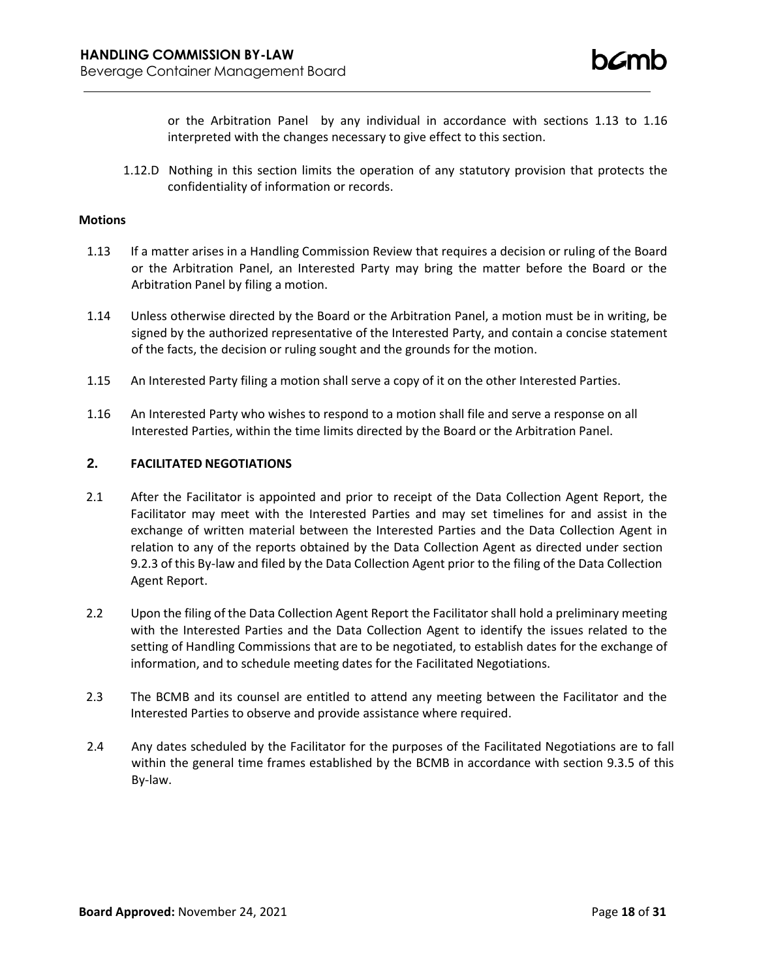or the Arbitration Panel by any individual in accordance with sections 1.13 to 1.16 interpreted with the changes necessary to give effect to this section.

1.12.D Nothing in this section limits the operation of any statutory provision that protects the confidentiality of information or records.

#### **Motions**

- 1.13 If a matter arises in a Handling Commission Review that requires a decision or ruling of the Board or the Arbitration Panel, an Interested Party may bring the matter before the Board or the Arbitration Panel by filing a motion.
- 1.14 Unless otherwise directed by the Board or the Arbitration Panel, a motion must be in writing, be signed by the authorized representative of the Interested Party, and contain a concise statement of the facts, the decision or ruling sought and the grounds for the motion.
- 1.15 An Interested Party filing a motion shall serve a copy of it on the other Interested Parties.
- 1.16 An Interested Party who wishes to respond to a motion shall file and serve a response on all Interested Parties, within the time limits directed by the Board or the Arbitration Panel.

## **2. FACILITATED NEGOTIATIONS**

- 2.1 After the Facilitator is appointed and prior to receipt of the Data Collection Agent Report, the Facilitator may meet with the Interested Parties and may set timelines for and assist in the exchange of written material between the Interested Parties and the Data Collection Agent in relation to any of the reports obtained by the Data Collection Agent as directed under section 9.2.3 of this By-law and filed by the Data Collection Agent prior to the filing of the Data Collection Agent Report.
- 2.2 Upon the filing of the Data Collection Agent Report the Facilitator shall hold a preliminary meeting with the Interested Parties and the Data Collection Agent to identify the issues related to the setting of Handling Commissions that are to be negotiated, to establish dates for the exchange of information, and to schedule meeting dates for the Facilitated Negotiations.
- 2.3 The BCMB and its counsel are entitled to attend any meeting between the Facilitator and the Interested Parties to observe and provide assistance where required.
- 2.4 Any dates scheduled by the Facilitator for the purposes of the Facilitated Negotiations are to fall within the general time frames established by the BCMB in accordance with section 9.3.5 of this By-law.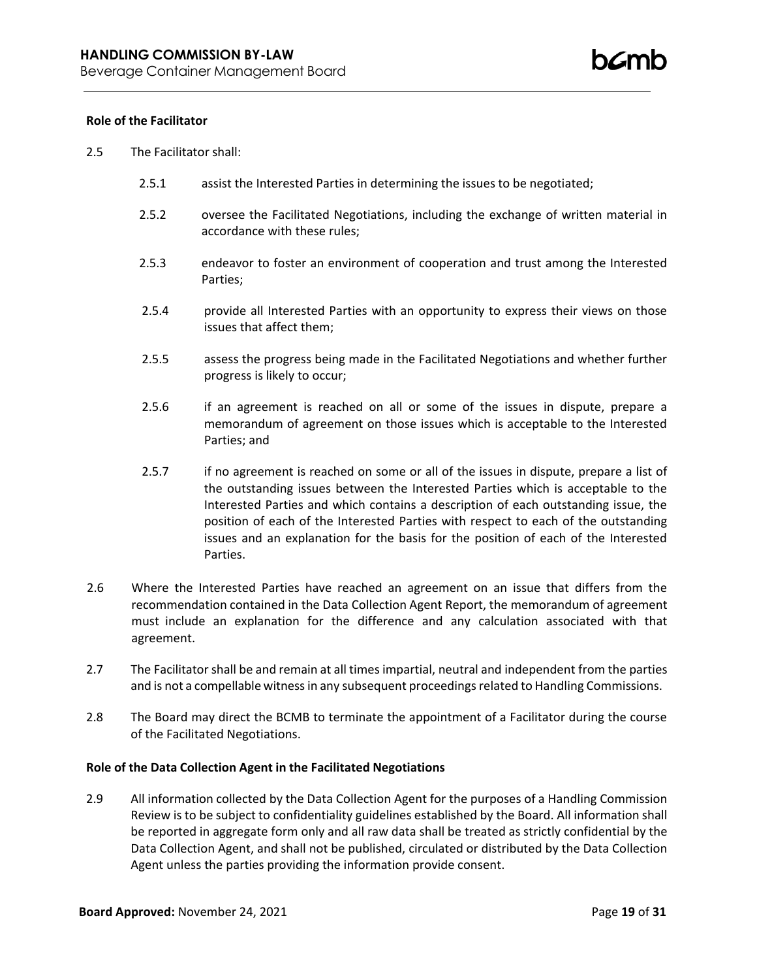## **Role of the Facilitator**

- 2.5 The Facilitator shall:
	- 2.5.1 assist the Interested Parties in determining the issues to be negotiated;
	- 2.5.2 oversee the Facilitated Negotiations, including the exchange of written material in accordance with these rules;
	- 2.5.3 endeavor to foster an environment of cooperation and trust among the Interested Parties;
	- 2.5.4 provide all Interested Parties with an opportunity to express their views on those issues that affect them;
	- 2.5.5 assess the progress being made in the Facilitated Negotiations and whether further progress is likely to occur;
	- 2.5.6 if an agreement is reached on all or some of the issues in dispute, prepare a memorandum of agreement on those issues which is acceptable to the Interested Parties; and
	- 2.5.7 if no agreement is reached on some or all of the issues in dispute, prepare a list of the outstanding issues between the Interested Parties which is acceptable to the Interested Parties and which contains a description of each outstanding issue, the position of each of the Interested Parties with respect to each of the outstanding issues and an explanation for the basis for the position of each of the Interested Parties.
- 2.6 Where the Interested Parties have reached an agreement on an issue that differs from the recommendation contained in the Data Collection Agent Report, the memorandum of agreement must include an explanation for the difference and any calculation associated with that agreement.
- 2.7 The Facilitator shall be and remain at all times impartial, neutral and independent from the parties and is not a compellable witness in any subsequent proceedings related to Handling Commissions.
- 2.8 The Board may direct the BCMB to terminate the appointment of a Facilitator during the course of the Facilitated Negotiations.

#### **Role of the Data Collection Agent in the Facilitated Negotiations**

2.9 All information collected by the Data Collection Agent for the purposes of a Handling Commission Review is to be subject to confidentiality guidelines established by the Board. All information shall be reported in aggregate form only and all raw data shall be treated as strictly confidential by the Data Collection Agent, and shall not be published, circulated or distributed by the Data Collection Agent unless the parties providing the information provide consent.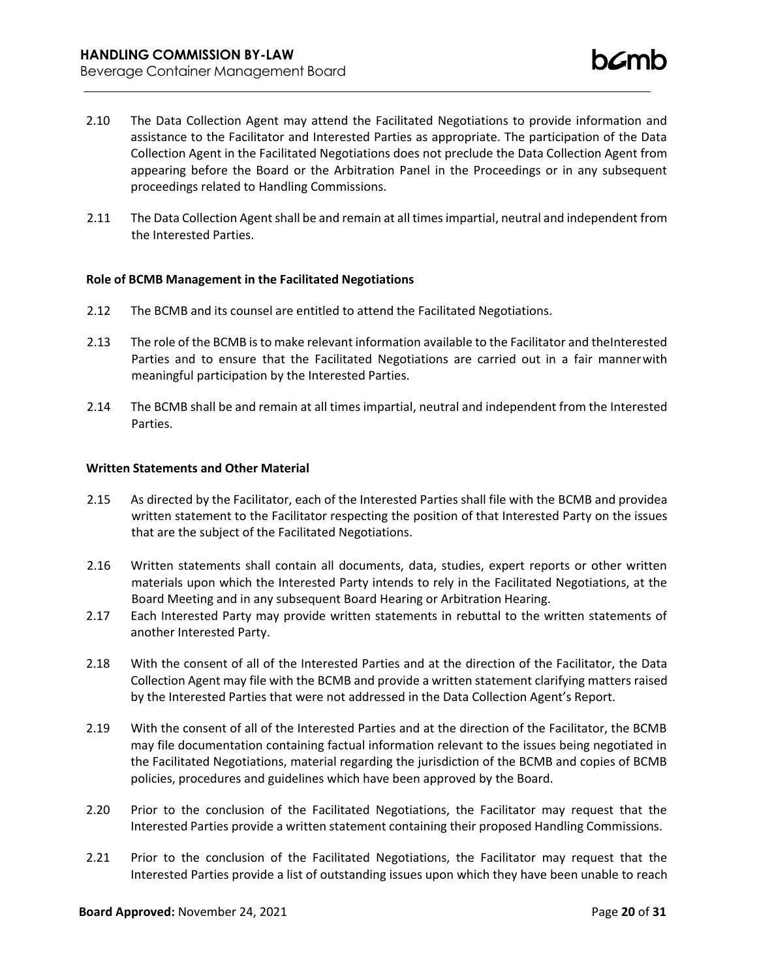- 2.10 The Data Collection Agent may attend the Facilitated Negotiations to provide information and assistance to the Facilitator and Interested Parties as appropriate. The participation of the Data Collection Agent in the Facilitated Negotiations does not preclude the Data Collection Agent from appearing before the Board or the Arbitration Panel in the Proceedings or in any subsequent proceedings related to Handling Commissions.
- 2.11 The Data Collection Agent shall be and remain at all times impartial, neutral and independent from the Interested Parties.

## **Role of BCMB Management in the Facilitated Negotiations**

- 2.12 The BCMB and its counsel are entitled to attend the Facilitated Negotiations.
- 2.13 The role of the BCMB is to make relevant information available to the Facilitator and theInterested Parties and to ensure that the Facilitated Negotiations are carried out in a fair mannerwith meaningful participation by the Interested Parties.
- 2.14 The BCMB shall be and remain at all times impartial, neutral and independent from the Interested Parties.

#### **Written Statements and Other Material**

- 2.15 As directed by the Facilitator, each of the Interested Parties shall file with the BCMB and providea written statement to the Facilitator respecting the position of that Interested Party on the issues that are the subject of the Facilitated Negotiations.
- 2.16 Written statements shall contain all documents, data, studies, expert reports or other written materials upon which the Interested Party intends to rely in the Facilitated Negotiations, at the Board Meeting and in any subsequent Board Hearing or Arbitration Hearing.
- 2.17 Each Interested Party may provide written statements in rebuttal to the written statements of another Interested Party.
- 2.18 With the consent of all of the Interested Parties and at the direction of the Facilitator, the Data Collection Agent may file with the BCMB and provide a written statement clarifying matters raised by the Interested Parties that were not addressed in the Data Collection Agent's Report.
- 2.19 With the consent of all of the Interested Parties and at the direction of the Facilitator, the BCMB may file documentation containing factual information relevant to the issues being negotiated in the Facilitated Negotiations, material regarding the jurisdiction of the BCMB and copies of BCMB policies, procedures and guidelines which have been approved by the Board.
- 2.20 Prior to the conclusion of the Facilitated Negotiations, the Facilitator may request that the Interested Parties provide a written statement containing their proposed Handling Commissions.
- 2.21 Prior to the conclusion of the Facilitated Negotiations, the Facilitator may request that the Interested Parties provide a list of outstanding issues upon which they have been unable to reach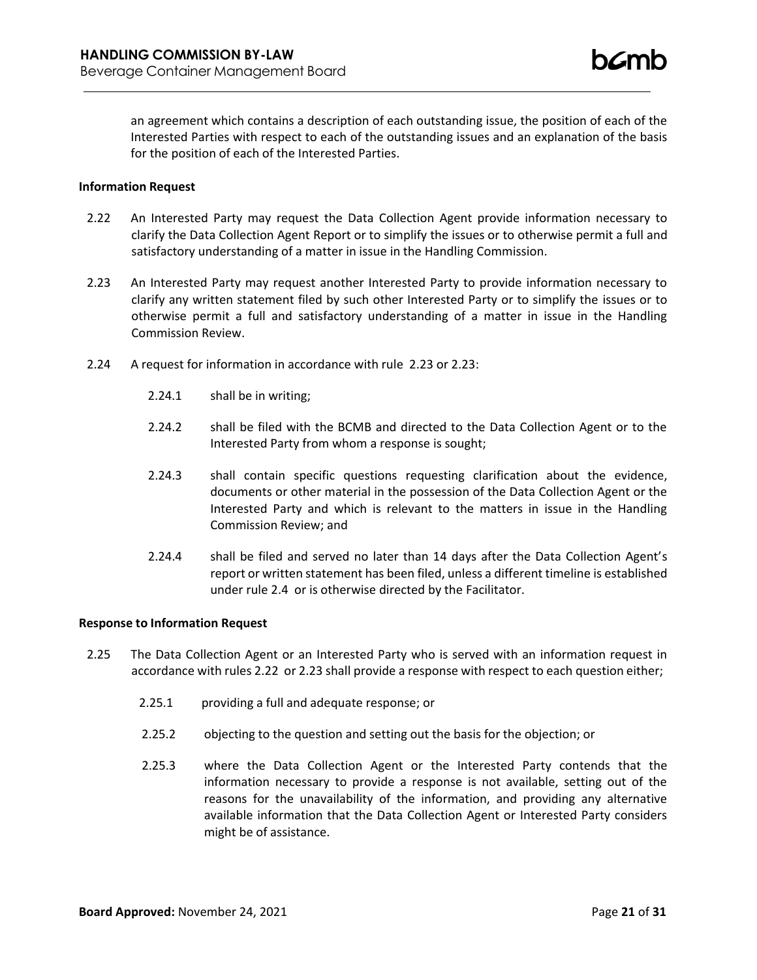an agreement which contains a description of each outstanding issue, the position of each of the Interested Parties with respect to each of the outstanding issues and an explanation of the basis for the position of each of the Interested Parties.

### **Information Request**

- 2.22 An Interested Party may request the Data Collection Agent provide information necessary to clarify the Data Collection Agent Report or to simplify the issues or to otherwise permit a full and satisfactory understanding of a matter in issue in the Handling Commission.
- 2.23 An Interested Party may request another Interested Party to provide information necessary to clarify any written statement filed by such other Interested Party or to simplify the issues or to otherwise permit a full and satisfactory understanding of a matter in issue in the Handling Commission Review.
- 2.24 A request for information in accordance with rule 2.23 or 2.23:
	- 2.24.1 shall be in writing;
	- 2.24.2 shall be filed with the BCMB and directed to the Data Collection Agent or to the Interested Party from whom a response is sought;
	- 2.24.3 shall contain specific questions requesting clarification about the evidence, documents or other material in the possession of the Data Collection Agent or the Interested Party and which is relevant to the matters in issue in the Handling Commission Review; and
	- 2.24.4 shall be filed and served no later than 14 days after the Data Collection Agent's report or written statement has been filed, unless a different timeline is established under rule 2.4 or is otherwise directed by the Facilitator.

## **Response to Information Request**

- 2.25 The Data Collection Agent or an Interested Party who is served with an information request in accordance with rules 2.22 or 2.23 shall provide a response with respect to each question either;
	- 2.25.1 providing a full and adequate response; or
	- 2.25.2 objecting to the question and setting out the basis for the objection; or
	- 2.25.3 where the Data Collection Agent or the Interested Party contends that the information necessary to provide a response is not available, setting out of the reasons for the unavailability of the information, and providing any alternative available information that the Data Collection Agent or Interested Party considers might be of assistance.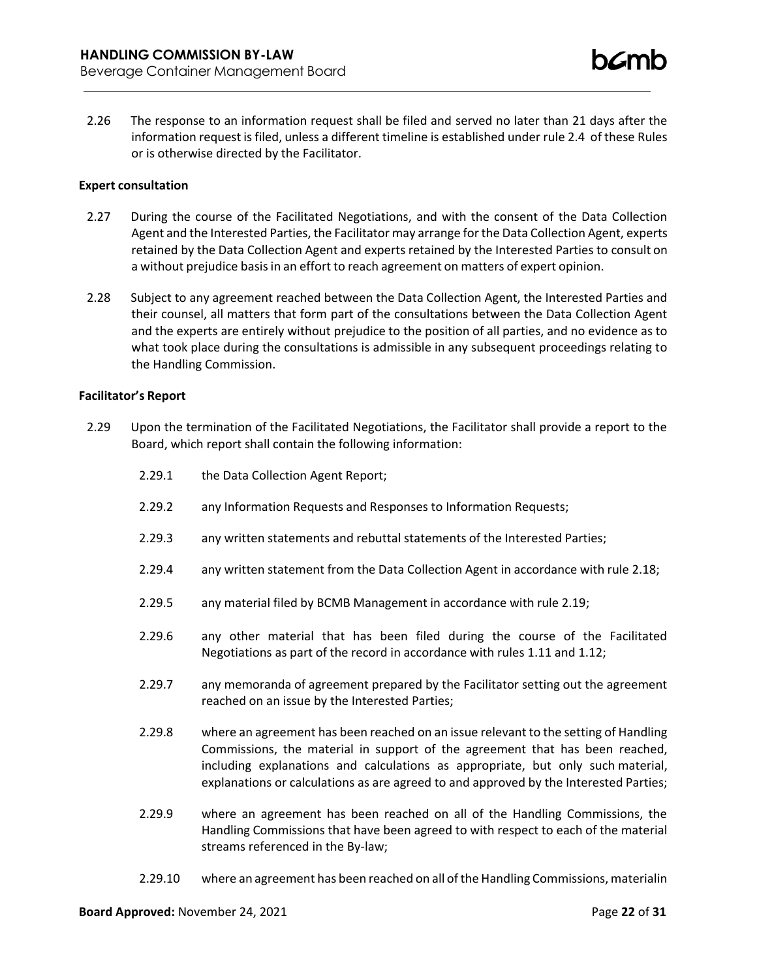2.26 The response to an information request shall be filed and served no later than 21 days after the information request is filed, unless a different timeline is established under rule 2.4 of these Rules or is otherwise directed by the Facilitator.

### **Expert consultation**

- 2.27 During the course of the Facilitated Negotiations, and with the consent of the Data Collection Agent and the Interested Parties, the Facilitator may arrange for the Data Collection Agent, experts retained by the Data Collection Agent and experts retained by the Interested Parties to consult on a without prejudice basisin an effort to reach agreement on matters of expert opinion.
- 2.28 Subject to any agreement reached between the Data Collection Agent, the Interested Parties and their counsel, all matters that form part of the consultations between the Data Collection Agent and the experts are entirely without prejudice to the position of all parties, and no evidence as to what took place during the consultations is admissible in any subsequent proceedings relating to the Handling Commission.

#### **Facilitator's Report**

- 2.29 Upon the termination of the Facilitated Negotiations, the Facilitator shall provide a report to the Board, which report shall contain the following information:
	- 2.29.1 the Data Collection Agent Report;
	- 2.29.2 any Information Requests and Responses to Information Requests;
	- 2.29.3 any written statements and rebuttal statements of the Interested Parties;
	- 2.29.4 any written statement from the Data Collection Agent in accordance with rule 2.18;
	- 2.29.5 any material filed by BCMB Management in accordance with rule 2.19;
	- 2.29.6 any other material that has been filed during the course of the Facilitated Negotiations as part of the record in accordance with rules 1.11 and 1.12;
	- 2.29.7 any memoranda of agreement prepared by the Facilitator setting out the agreement reached on an issue by the Interested Parties;
	- 2.29.8 where an agreement has been reached on an issue relevant to the setting of Handling Commissions, the material in support of the agreement that has been reached, including explanations and calculations as appropriate, but only such material, explanations or calculations as are agreed to and approved by the Interested Parties;
	- 2.29.9 where an agreement has been reached on all of the Handling Commissions, the Handling Commissions that have been agreed to with respect to each of the material streams referenced in the By-law;
	- 2.29.10 where an agreement has been reached on all ofthe Handling Commissions, materialin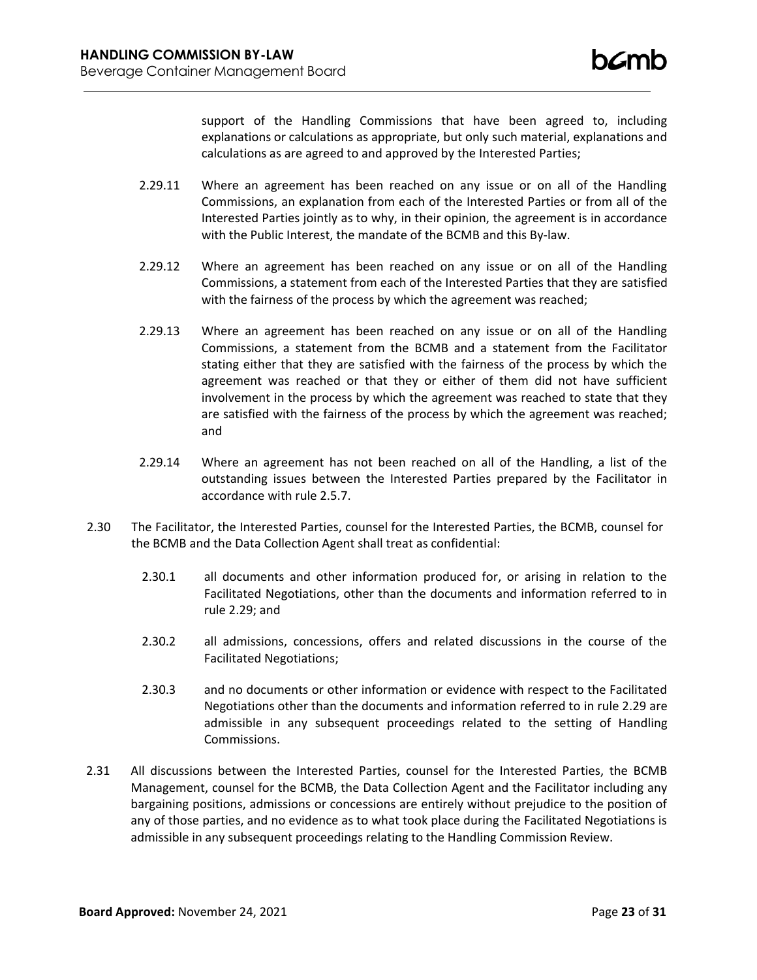support of the Handling Commissions that have been agreed to, including explanations or calculations as appropriate, but only such material, explanations and calculations as are agreed to and approved by the Interested Parties;

- 2.29.11 Where an agreement has been reached on any issue or on all of the Handling Commissions, an explanation from each of the Interested Parties or from all of the Interested Parties jointly as to why, in their opinion, the agreement is in accordance with the Public Interest, the mandate of the BCMB and this By-law.
- 2.29.12 Where an agreement has been reached on any issue or on all of the Handling Commissions, a statement from each of the Interested Parties that they are satisfied with the fairness of the process by which the agreement was reached;
- 2.29.13 Where an agreement has been reached on any issue or on all of the Handling Commissions, a statement from the BCMB and a statement from the Facilitator stating either that they are satisfied with the fairness of the process by which the agreement was reached or that they or either of them did not have sufficient involvement in the process by which the agreement was reached to state that they are satisfied with the fairness of the process by which the agreement was reached; and
- 2.29.14 Where an agreement has not been reached on all of the Handling, a list of the outstanding issues between the Interested Parties prepared by the Facilitator in accordance with rule 2.5.7.
- 2.30 The Facilitator, the Interested Parties, counsel for the Interested Parties, the BCMB, counsel for the BCMB and the Data Collection Agent shall treat as confidential:
	- 2.30.1 all documents and other information produced for, or arising in relation to the Facilitated Negotiations, other than the documents and information referred to in rule 2.29; and
	- 2.30.2 all admissions, concessions, offers and related discussions in the course of the Facilitated Negotiations;
	- 2.30.3 and no documents or other information or evidence with respect to the Facilitated Negotiations other than the documents and information referred to in rule 2.29 are admissible in any subsequent proceedings related to the setting of Handling Commissions.
- 2.31 All discussions between the Interested Parties, counsel for the Interested Parties, the BCMB Management, counsel for the BCMB, the Data Collection Agent and the Facilitator including any bargaining positions, admissions or concessions are entirely without prejudice to the position of any of those parties, and no evidence as to what took place during the Facilitated Negotiations is admissible in any subsequent proceedings relating to the Handling Commission Review.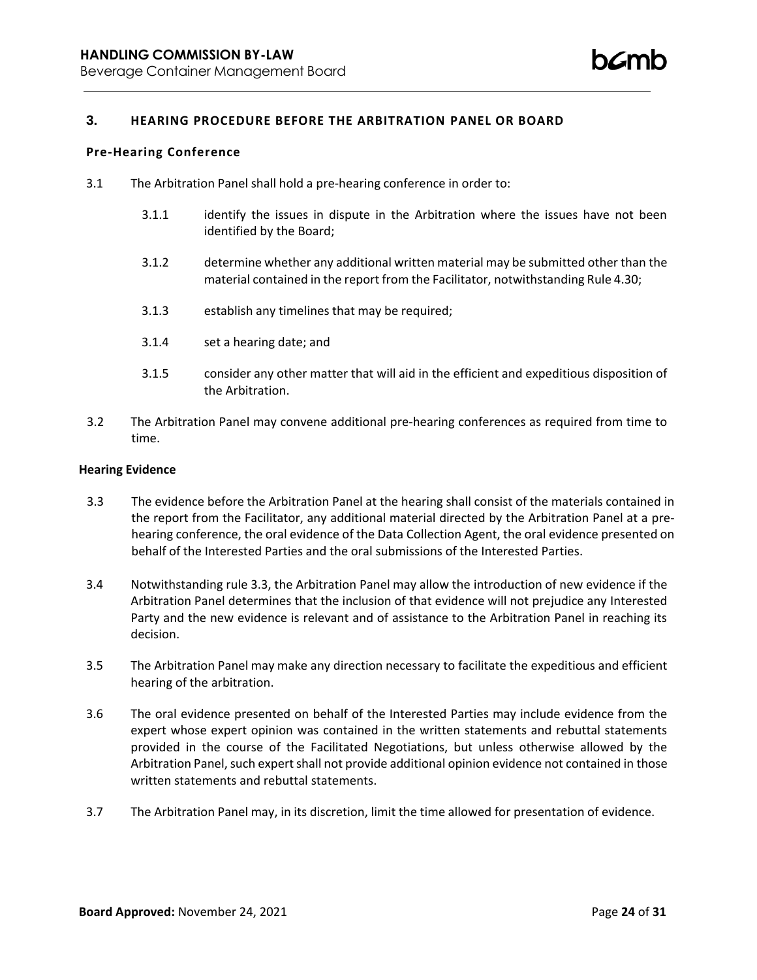## **3. HEARING PROCEDURE BEFORE THE ARBITRATION PANEL OR BOARD**

#### **Pre-Hearing Conference**

- 3.1 The Arbitration Panel shall hold a pre-hearing conference in order to:
	- 3.1.1 identify the issues in dispute in the Arbitration where the issues have not been identified by the Board;
	- 3.1.2 determine whether any additional written material may be submitted other than the material contained in the report from the Facilitator, notwithstanding Rule 4.30;
	- 3.1.3 establish any timelines that may be required;
	- 3.1.4 set a hearing date; and
	- 3.1.5 consider any other matter that will aid in the efficient and expeditious disposition of the Arbitration.
- 3.2 The Arbitration Panel may convene additional pre-hearing conferences as required from time to time.

#### **Hearing Evidence**

- 3.3 The evidence before the Arbitration Panel at the hearing shall consist of the materials contained in the report from the Facilitator, any additional material directed by the Arbitration Panel at a prehearing conference, the oral evidence of the Data Collection Agent, the oral evidence presented on behalf of the Interested Parties and the oral submissions of the Interested Parties.
- 3.4 Notwithstanding rule 3.3, the Arbitration Panel may allow the introduction of new evidence if the Arbitration Panel determines that the inclusion of that evidence will not prejudice any Interested Party and the new evidence is relevant and of assistance to the Arbitration Panel in reaching its decision.
- 3.5 The Arbitration Panel may make any direction necessary to facilitate the expeditious and efficient hearing of the arbitration.
- 3.6 The oral evidence presented on behalf of the Interested Parties may include evidence from the expert whose expert opinion was contained in the written statements and rebuttal statements provided in the course of the Facilitated Negotiations, but unless otherwise allowed by the Arbitration Panel, such expert shall not provide additional opinion evidence not contained in those written statements and rebuttal statements.
- 3.7 The Arbitration Panel may, in its discretion, limit the time allowed for presentation of evidence.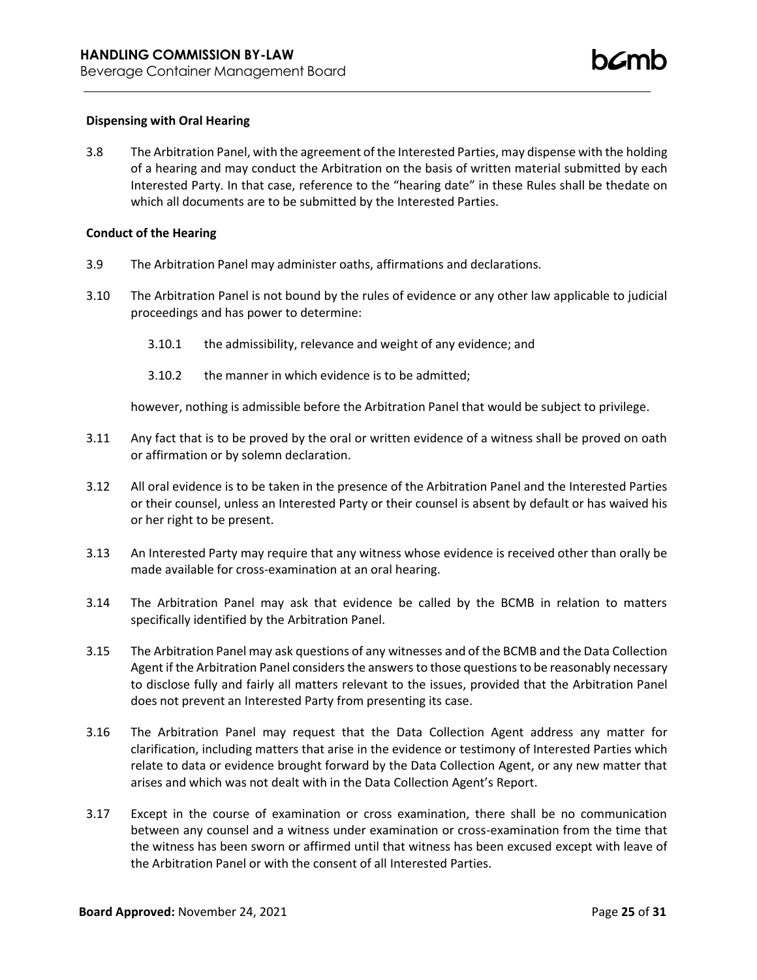## **Dispensing with Oral Hearing**

3.8 The Arbitration Panel, with the agreement of the Interested Parties, may dispense with the holding of a hearing and may conduct the Arbitration on the basis of written material submitted by each Interested Party. In that case, reference to the "hearing date" in these Rules shall be thedate on which all documents are to be submitted by the Interested Parties.

### **Conduct of the Hearing**

- 3.9 The Arbitration Panel may administer oaths, affirmations and declarations.
- 3.10 The Arbitration Panel is not bound by the rules of evidence or any other law applicable to judicial proceedings and has power to determine:
	- 3.10.1 the admissibility, relevance and weight of any evidence; and
	- 3.10.2 the manner in which evidence is to be admitted;

however, nothing is admissible before the Arbitration Panel that would be subject to privilege.

- 3.11 Any fact that is to be proved by the oral or written evidence of a witness shall be proved on oath or affirmation or by solemn declaration.
- 3.12 All oral evidence is to be taken in the presence of the Arbitration Panel and the Interested Parties or their counsel, unless an Interested Party or their counsel is absent by default or has waived his or her right to be present.
- 3.13 An Interested Party may require that any witness whose evidence is received other than orally be made available for cross-examination at an oral hearing.
- 3.14 The Arbitration Panel may ask that evidence be called by the BCMB in relation to matters specifically identified by the Arbitration Panel.
- 3.15 The Arbitration Panel may ask questions of any witnesses and of the BCMB and the Data Collection Agent if the Arbitration Panel considers the answers to those questions to be reasonably necessary to disclose fully and fairly all matters relevant to the issues, provided that the Arbitration Panel does not prevent an Interested Party from presenting its case.
- 3.16 The Arbitration Panel may request that the Data Collection Agent address any matter for clarification, including matters that arise in the evidence or testimony of Interested Parties which relate to data or evidence brought forward by the Data Collection Agent, or any new matter that arises and which was not dealt with in the Data Collection Agent's Report.
- 3.17 Except in the course of examination or cross examination, there shall be no communication between any counsel and a witness under examination or cross-examination from the time that the witness has been sworn or affirmed until that witness has been excused except with leave of the Arbitration Panel or with the consent of all Interested Parties.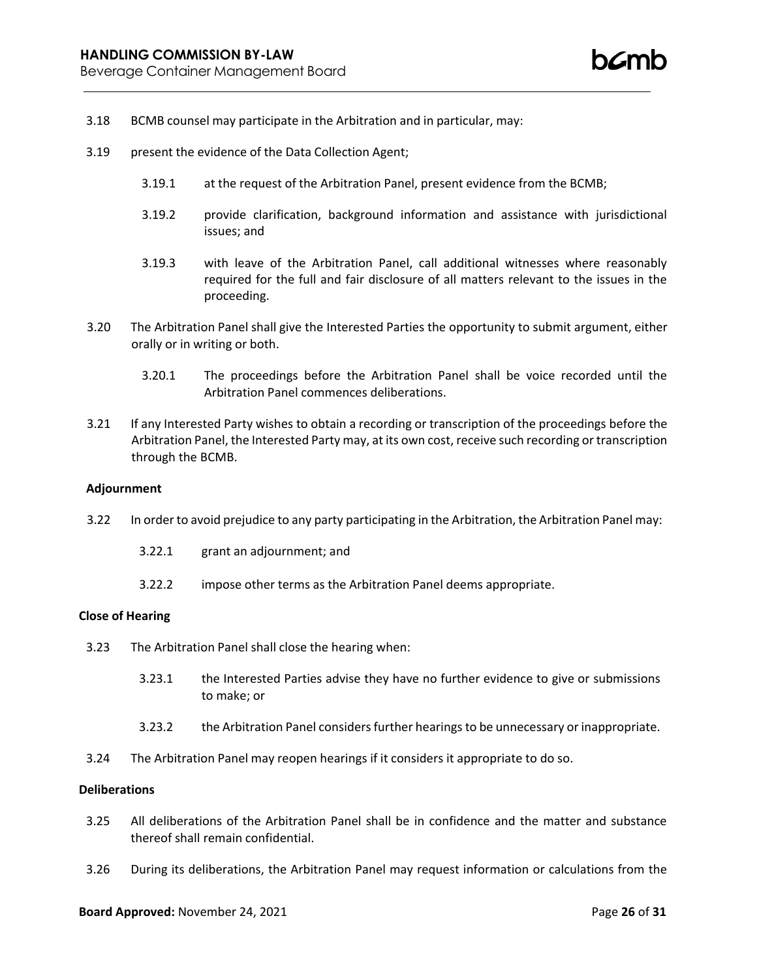- 3.18 BCMB counsel may participate in the Arbitration and in particular, may:
- 3.19 present the evidence of the Data Collection Agent;
	- 3.19.1 at the request of the Arbitration Panel, present evidence from the BCMB;
	- 3.19.2 provide clarification, background information and assistance with jurisdictional issues; and
	- 3.19.3 with leave of the Arbitration Panel, call additional witnesses where reasonably required for the full and fair disclosure of all matters relevant to the issues in the proceeding.
- 3.20 The Arbitration Panel shall give the Interested Parties the opportunity to submit argument, either orally or in writing or both.
	- 3.20.1 The proceedings before the Arbitration Panel shall be voice recorded until the Arbitration Panel commences deliberations.
- 3.21 If any Interested Party wishes to obtain a recording or transcription of the proceedings before the Arbitration Panel, the Interested Party may, at its own cost, receive such recording or transcription through the BCMB.

#### **Adjournment**

- 3.22 In order to avoid prejudice to any party participating in the Arbitration, the Arbitration Panel may:
	- 3.22.1 grant an adjournment; and
	- 3.22.2 impose other terms as the Arbitration Panel deems appropriate.

#### **Close of Hearing**

- 3.23 The Arbitration Panel shall close the hearing when:
	- 3.23.1 the Interested Parties advise they have no further evidence to give or submissions to make; or
	- 3.23.2 the Arbitration Panel considersfurther hearingsto be unnecessary or inappropriate.
- 3.24 The Arbitration Panel may reopen hearings if it considers it appropriate to do so.

## **Deliberations**

- 3.25 All deliberations of the Arbitration Panel shall be in confidence and the matter and substance thereof shall remain confidential.
- 3.26 During its deliberations, the Arbitration Panel may request information or calculations from the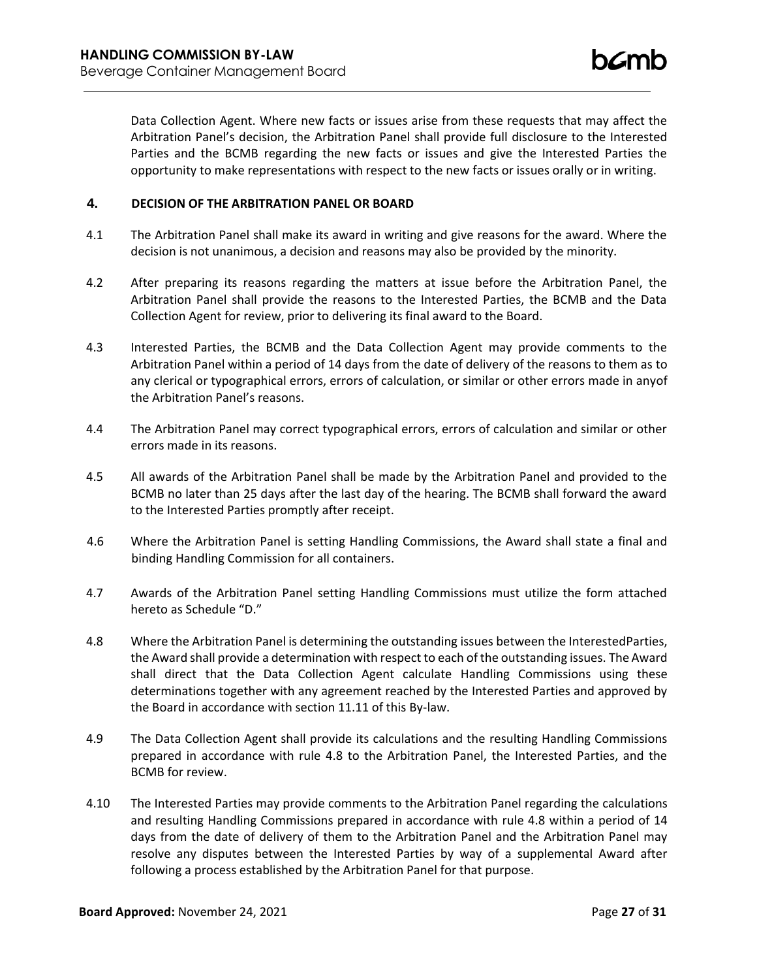Data Collection Agent. Where new facts or issues arise from these requests that may affect the Arbitration Panel's decision, the Arbitration Panel shall provide full disclosure to the Interested Parties and the BCMB regarding the new facts or issues and give the Interested Parties the opportunity to make representations with respect to the new facts or issues orally or in writing.

## **4. DECISION OF THE ARBITRATION PANEL OR BOARD**

- 4.1 The Arbitration Panel shall make its award in writing and give reasons for the award. Where the decision is not unanimous, a decision and reasons may also be provided by the minority.
- 4.2 After preparing its reasons regarding the matters at issue before the Arbitration Panel, the Arbitration Panel shall provide the reasons to the Interested Parties, the BCMB and the Data Collection Agent for review, prior to delivering its final award to the Board.
- 4.3 Interested Parties, the BCMB and the Data Collection Agent may provide comments to the Arbitration Panel within a period of 14 days from the date of delivery of the reasons to them as to any clerical or typographical errors, errors of calculation, or similar or other errors made in anyof the Arbitration Panel's reasons.
- 4.4 The Arbitration Panel may correct typographical errors, errors of calculation and similar or other errors made in its reasons.
- 4.5 All awards of the Arbitration Panel shall be made by the Arbitration Panel and provided to the BCMB no later than 25 days after the last day of the hearing. The BCMB shall forward the award to the Interested Parties promptly after receipt.
- 4.6 Where the Arbitration Panel is setting Handling Commissions, the Award shall state a final and binding Handling Commission for all containers.
- 4.7 Awards of the Arbitration Panel setting Handling Commissions must utilize the form attached hereto as Schedule "D."
- 4.8 Where the Arbitration Panel is determining the outstanding issues between the InterestedParties, the Award shall provide a determination with respect to each of the outstanding issues. The Award shall direct that the Data Collection Agent calculate Handling Commissions using these determinations together with any agreement reached by the Interested Parties and approved by the Board in accordance with section 11.11 of this By-law.
- 4.9 The Data Collection Agent shall provide its calculations and the resulting Handling Commissions prepared in accordance with rule 4.8 to the Arbitration Panel, the Interested Parties, and the BCMB for review.
- 4.10 The Interested Parties may provide comments to the Arbitration Panel regarding the calculations and resulting Handling Commissions prepared in accordance with rule 4.8 within a period of 14 days from the date of delivery of them to the Arbitration Panel and the Arbitration Panel may resolve any disputes between the Interested Parties by way of a supplemental Award after following a process established by the Arbitration Panel for that purpose.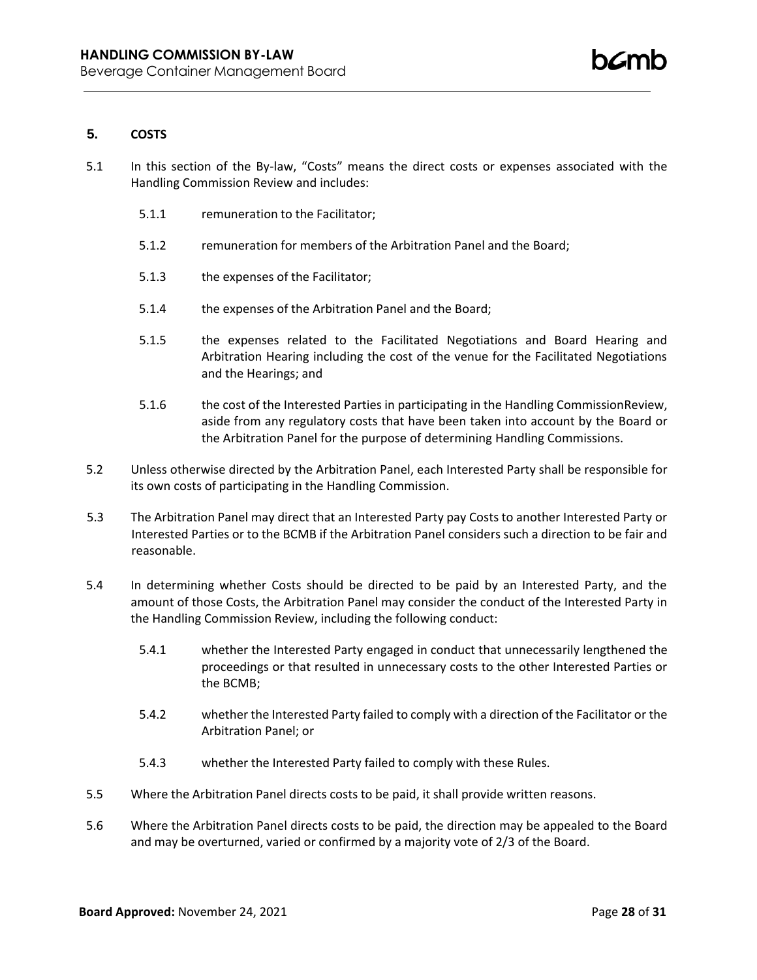## **5. COSTS**

- 5.1 In this section of the By-law, "Costs" means the direct costs or expenses associated with the Handling Commission Review and includes:
	- 5.1.1 remuneration to the Facilitator;
	- 5.1.2 remuneration for members of the Arbitration Panel and the Board;
	- 5.1.3 the expenses of the Facilitator;
	- 5.1.4 the expenses of the Arbitration Panel and the Board;
	- 5.1.5 the expenses related to the Facilitated Negotiations and Board Hearing and Arbitration Hearing including the cost of the venue for the Facilitated Negotiations and the Hearings; and
	- 5.1.6 the cost of the Interested Parties in participating in the Handling CommissionReview, aside from any regulatory costs that have been taken into account by the Board or the Arbitration Panel for the purpose of determining Handling Commissions.
- 5.2 Unless otherwise directed by the Arbitration Panel, each Interested Party shall be responsible for its own costs of participating in the Handling Commission.
- 5.3 The Arbitration Panel may direct that an Interested Party pay Costs to another Interested Party or Interested Parties or to the BCMB if the Arbitration Panel considers such a direction to be fair and reasonable.
- 5.4 In determining whether Costs should be directed to be paid by an Interested Party, and the amount of those Costs, the Arbitration Panel may consider the conduct of the Interested Party in the Handling Commission Review, including the following conduct:
	- 5.4.1 whether the Interested Party engaged in conduct that unnecessarily lengthened the proceedings or that resulted in unnecessary costs to the other Interested Parties or the BCMB;
	- 5.4.2 whether the Interested Party failed to comply with a direction of the Facilitator or the Arbitration Panel; or
	- 5.4.3 whether the Interested Party failed to comply with these Rules.
- 5.5 Where the Arbitration Panel directs costs to be paid, it shall provide written reasons.
- 5.6 Where the Arbitration Panel directs costs to be paid, the direction may be appealed to the Board and may be overturned, varied or confirmed by a majority vote of 2/3 of the Board.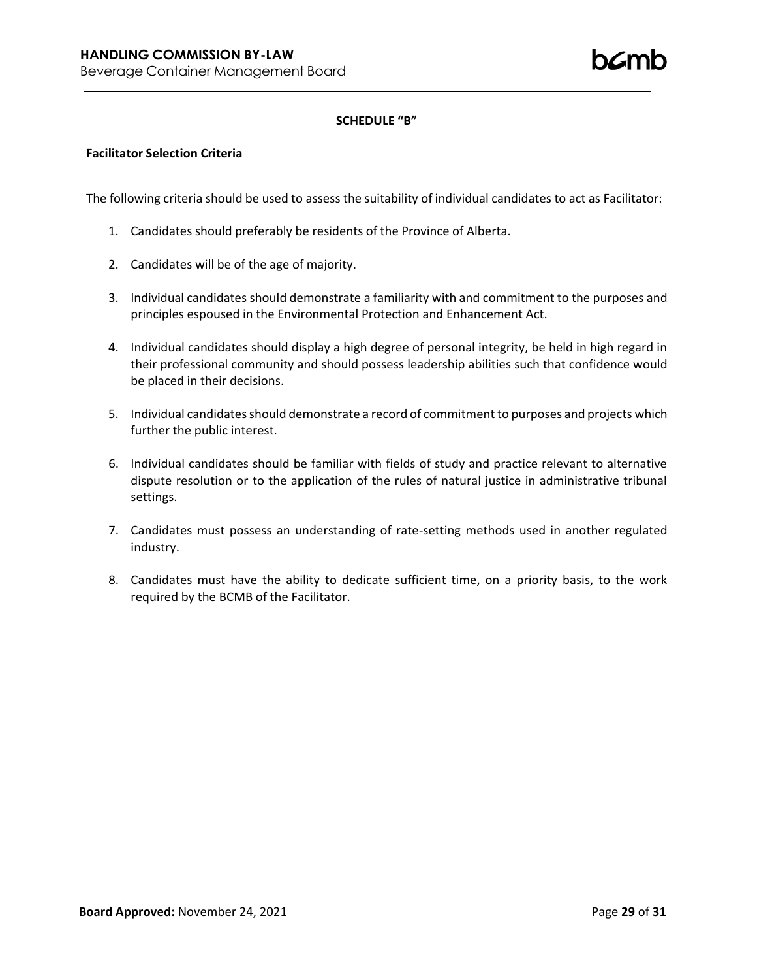h*C*mh

# **SCHEDULE "B"**

## **Facilitator Selection Criteria**

The following criteria should be used to assess the suitability of individual candidates to act as Facilitator:

- 1. Candidates should preferably be residents of the Province of Alberta.
- 2. Candidates will be of the age of majority.
- 3. Individual candidates should demonstrate a familiarity with and commitment to the purposes and principles espoused in the Environmental Protection and Enhancement Act.
- 4. Individual candidates should display a high degree of personal integrity, be held in high regard in their professional community and should possess leadership abilities such that confidence would be placed in their decisions.
- 5. Individual candidates should demonstrate a record of commitment to purposes and projects which further the public interest.
- 6. Individual candidates should be familiar with fields of study and practice relevant to alternative dispute resolution or to the application of the rules of natural justice in administrative tribunal settings.
- 7. Candidates must possess an understanding of rate-setting methods used in another regulated industry.
- 8. Candidates must have the ability to dedicate sufficient time, on a priority basis, to the work required by the BCMB of the Facilitator.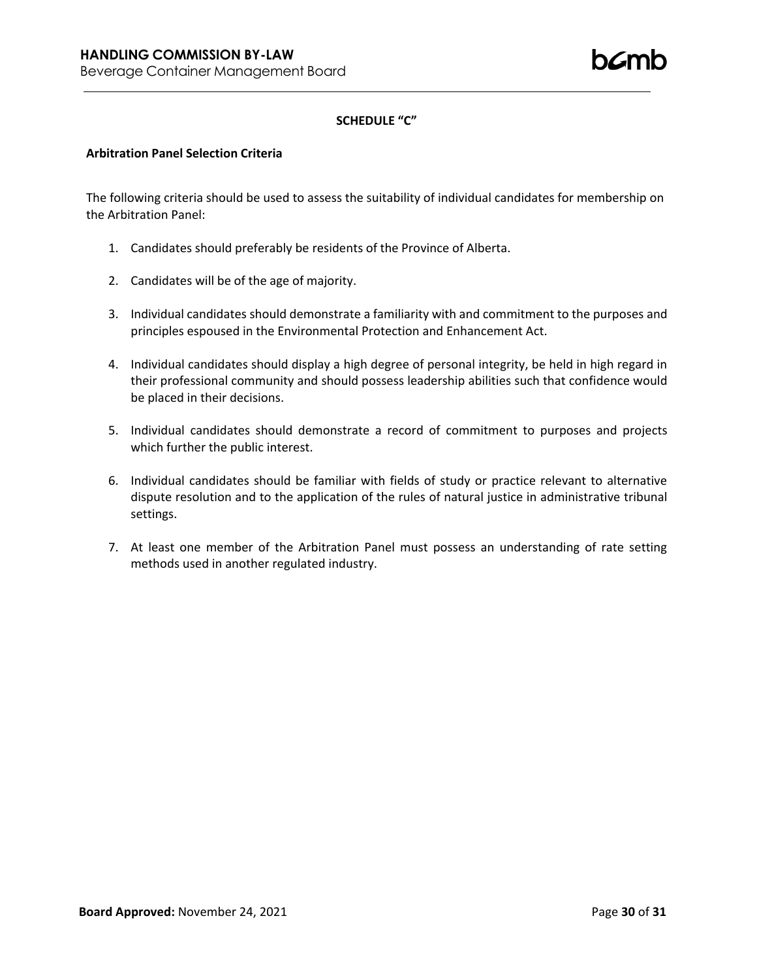# **SCHEDULE "C"**

## **Arbitration Panel Selection Criteria**

The following criteria should be used to assess the suitability of individual candidates for membership on the Arbitration Panel:

- 1. Candidates should preferably be residents of the Province of Alberta.
- 2. Candidates will be of the age of majority.
- 3. Individual candidates should demonstrate a familiarity with and commitment to the purposes and principles espoused in the Environmental Protection and Enhancement Act.
- 4. Individual candidates should display a high degree of personal integrity, be held in high regard in their professional community and should possess leadership abilities such that confidence would be placed in their decisions.
- 5. Individual candidates should demonstrate a record of commitment to purposes and projects which further the public interest.
- 6. Individual candidates should be familiar with fields of study or practice relevant to alternative dispute resolution and to the application of the rules of natural justice in administrative tribunal settings.
- 7. At least one member of the Arbitration Panel must possess an understanding of rate setting methods used in another regulated industry.